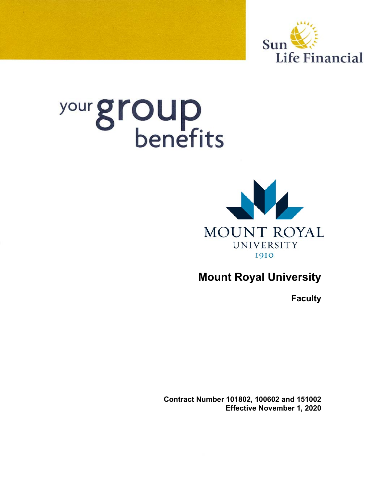

# your group



# **Mount Royal University**

**Faculty** 

**Contract Number 101802, 100602 and 151002 Effective November 1, 2020**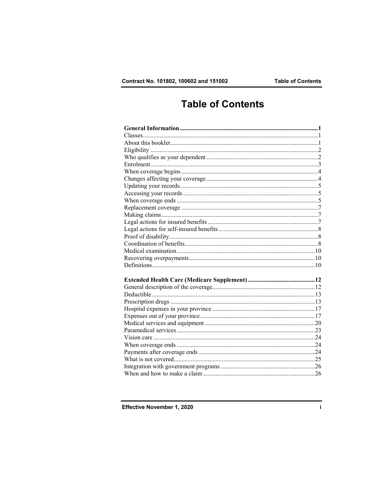## **Table of Contents**

Effective November 1, 2020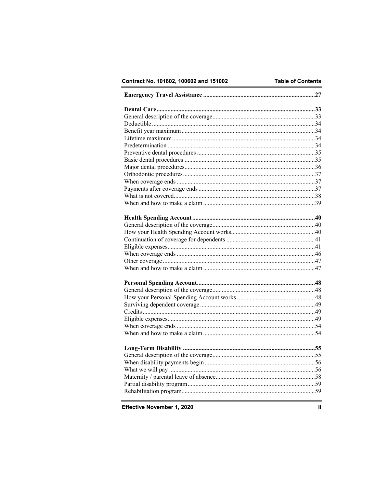Contract No. 101802, 100602 and 151002

Effective November 1, 2020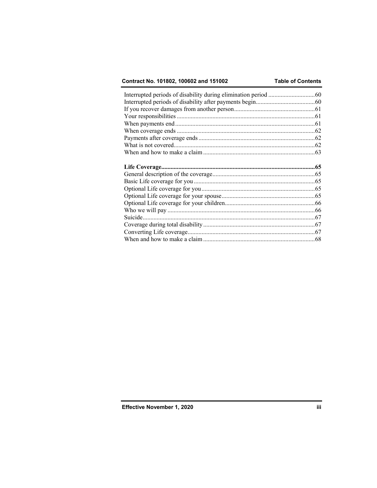## Contract No. 101802, 100602 and 151002

## **Table of Contents**

| Suicide. |  |
|----------|--|
|          |  |
|          |  |
|          |  |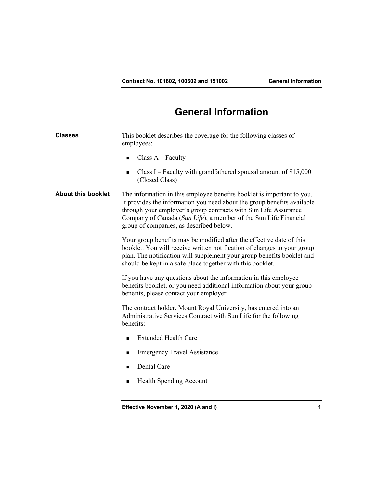# **General Information**

| <b>Classes</b>            | This booklet describes the coverage for the following classes of<br>employees:                                                                                                                                                                                                                                                      |  |
|---------------------------|-------------------------------------------------------------------------------------------------------------------------------------------------------------------------------------------------------------------------------------------------------------------------------------------------------------------------------------|--|
|                           | Class $A - Faculty$<br>$\blacksquare$                                                                                                                                                                                                                                                                                               |  |
|                           | Class I – Faculty with grandfathered spousal amount of $$15,000$<br>■<br>(Closed Class)                                                                                                                                                                                                                                             |  |
| <b>About this booklet</b> | The information in this employee benefits booklet is important to you.<br>It provides the information you need about the group benefits available<br>through your employer's group contracts with Sun Life Assurance<br>Company of Canada (Sun Life), a member of the Sun Life Financial<br>group of companies, as described below. |  |
|                           | Your group benefits may be modified after the effective date of this<br>booklet. You will receive written notification of changes to your group<br>plan. The notification will supplement your group benefits booklet and<br>should be kept in a safe place together with this booklet.                                             |  |
|                           | If you have any questions about the information in this employee<br>benefits booklet, or you need additional information about your group<br>benefits, please contact your employer.                                                                                                                                                |  |
|                           | The contract holder, Mount Royal University, has entered into an<br>Administrative Services Contract with Sun Life for the following<br>benefits:                                                                                                                                                                                   |  |
|                           | <b>Extended Health Care</b><br>$\blacksquare$                                                                                                                                                                                                                                                                                       |  |
|                           | <b>Emergency Travel Assistance</b><br>■                                                                                                                                                                                                                                                                                             |  |
|                           | Dental Care<br>■                                                                                                                                                                                                                                                                                                                    |  |
|                           | Health Spending Account<br>■                                                                                                                                                                                                                                                                                                        |  |
|                           |                                                                                                                                                                                                                                                                                                                                     |  |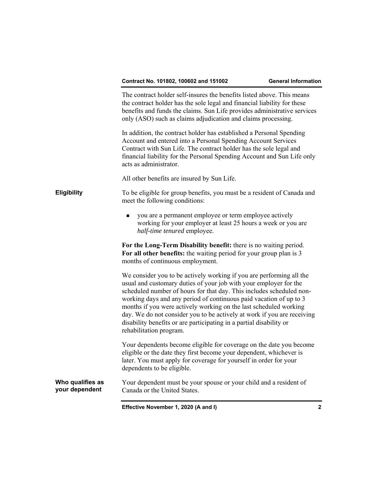The contract holder self-insures the benefits listed above. This means the contract holder has the sole legal and financial liability for these benefits and funds the claims. Sun Life provides administrative services only (ASO) such as claims adjudication and claims processing. In addition, the contract holder has established a Personal Spending Account and entered into a Personal Spending Account Services Contract with Sun Life. The contract holder has the sole legal and financial liability for the Personal Spending Account and Sun Life only acts as administrator. All other benefits are insured by Sun Life. **Eligibility** To be eligible for group benefits, you must be a resident of Canada and meet the following conditions: you are a permanent employee or term employee actively working for your employer at least 25 hours a week or you are *half-time tenured* employee. **For the Long-Term Disability benefit:** there is no waiting period. **For all other benefits:** the waiting period for your group plan is 3 months of continuous employment. We consider you to be actively working if you are performing all the usual and customary duties of your job with your employer for the scheduled number of hours for that day. This includes scheduled nonworking days and any period of continuous paid vacation of up to 3 months if you were actively working on the last scheduled working day. We do not consider you to be actively at work if you are receiving disability benefits or are participating in a partial disability or rehabilitation program. Your dependents become eligible for coverage on the date you become eligible or the date they first become your dependent, whichever is later. You must apply for coverage for yourself in order for your dependents to be eligible. **Who qualifies as your dependent**  Your dependent must be your spouse or your child and a resident of Canada or the United States.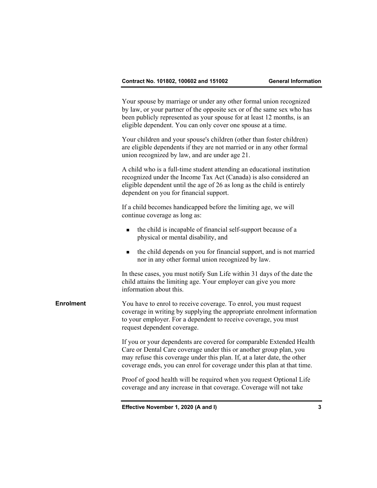Your spouse by marriage or under any other formal union recognized by law, or your partner of the opposite sex or of the same sex who has been publicly represented as your spouse for at least 12 months, is an eligible dependent. You can only cover one spouse at a time.

 Your children and your spouse's children (other than foster children) are eligible dependents if they are not married or in any other formal union recognized by law, and are under age 21.

 A child who is a full-time student attending an educational institution recognized under the Income Tax Act (Canada) is also considered an eligible dependent until the age of 26 as long as the child is entirely dependent on you for financial support.

 If a child becomes handicapped before the limiting age, we will continue coverage as long as:

- $\blacksquare$  the child is incapable of financial self-support because of a physical or mental disability, and
- the child depends on you for financial support, and is not married nor in any other formal union recognized by law.

 In these cases, you must notify Sun Life within 31 days of the date the child attains the limiting age. Your employer can give you more information about this.

**Enrolment** You have to enrol to receive coverage. To enrol, you must request coverage in writing by supplying the appropriate enrolment information to your employer. For a dependent to receive coverage, you must request dependent coverage.

> If you or your dependents are covered for comparable Extended Health Care or Dental Care coverage under this or another group plan, you may refuse this coverage under this plan. If, at a later date, the other coverage ends, you can enrol for coverage under this plan at that time.

 Proof of good health will be required when you request Optional Life coverage and any increase in that coverage. Coverage will not take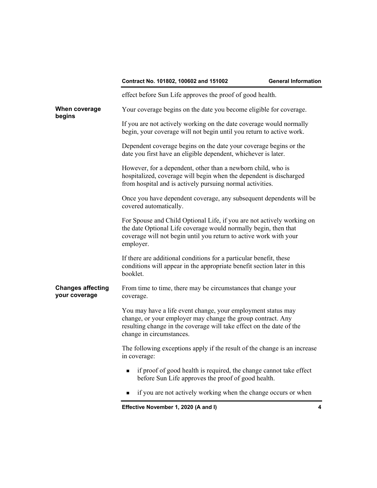|                                           | effect before Sun Life approves the proof of good health.                                                                                                                                                                       |
|-------------------------------------------|---------------------------------------------------------------------------------------------------------------------------------------------------------------------------------------------------------------------------------|
| When coverage<br>begins                   | Your coverage begins on the date you become eligible for coverage.                                                                                                                                                              |
|                                           | If you are not actively working on the date coverage would normally<br>begin, your coverage will not begin until you return to active work.                                                                                     |
|                                           | Dependent coverage begins on the date your coverage begins or the<br>date you first have an eligible dependent, whichever is later.                                                                                             |
|                                           | However, for a dependent, other than a newborn child, who is<br>hospitalized, coverage will begin when the dependent is discharged<br>from hospital and is actively pursuing normal activities.                                 |
|                                           | Once you have dependent coverage, any subsequent dependents will be<br>covered automatically.                                                                                                                                   |
|                                           | For Spouse and Child Optional Life, if you are not actively working on<br>the date Optional Life coverage would normally begin, then that<br>coverage will not begin until you return to active work with your<br>employer.     |
|                                           | If there are additional conditions for a particular benefit, these<br>conditions will appear in the appropriate benefit section later in this<br>booklet.                                                                       |
| <b>Changes affecting</b><br>your coverage | From time to time, there may be circumstances that change your<br>coverage.                                                                                                                                                     |
|                                           | You may have a life event change, your employment status may<br>change, or your employer may change the group contract. Any<br>resulting change in the coverage will take effect on the date of the<br>change in circumstances. |
|                                           | The following exceptions apply if the result of the change is an increase<br>in coverage:                                                                                                                                       |
|                                           | if proof of good health is required, the change cannot take effect<br>$\blacksquare$<br>before Sun Life approves the proof of good health.                                                                                      |
|                                           | if you are not actively working when the change occurs or when<br>■                                                                                                                                                             |
|                                           | Effective November 1, 2020 (A and I)<br>4                                                                                                                                                                                       |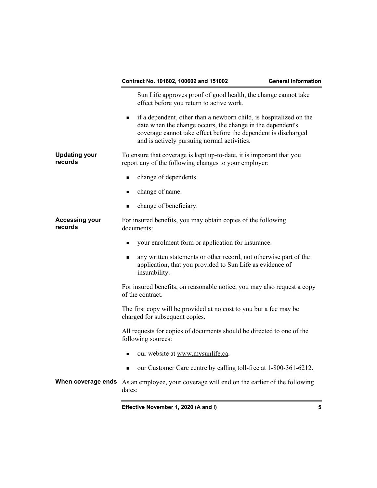|                                                                                                                | Contract No. 101802, 100602 and 151002                                                                                                                                                                                                            | <b>General Information</b> |
|----------------------------------------------------------------------------------------------------------------|---------------------------------------------------------------------------------------------------------------------------------------------------------------------------------------------------------------------------------------------------|----------------------------|
|                                                                                                                | Sun Life approves proof of good health, the change cannot take<br>effect before you return to active work.                                                                                                                                        |                            |
|                                                                                                                | if a dependent, other than a newborn child, is hospitalized on the<br>date when the change occurs, the change in the dependent's<br>coverage cannot take effect before the dependent is discharged<br>and is actively pursuing normal activities. |                            |
| <b>Updating your</b><br>records                                                                                | To ensure that coverage is kept up-to-date, it is important that you<br>report any of the following changes to your employer:                                                                                                                     |                            |
|                                                                                                                | change of dependents.<br>$\blacksquare$                                                                                                                                                                                                           |                            |
|                                                                                                                | change of name.<br>■                                                                                                                                                                                                                              |                            |
|                                                                                                                | change of beneficiary.<br>■                                                                                                                                                                                                                       |                            |
| <b>Accessing your</b><br>For insured benefits, you may obtain copies of the following<br>records<br>documents: |                                                                                                                                                                                                                                                   |                            |
|                                                                                                                | your enrolment form or application for insurance.                                                                                                                                                                                                 |                            |
|                                                                                                                | any written statements or other record, not otherwise part of the<br>■<br>application, that you provided to Sun Life as evidence of<br>insurability.                                                                                              |                            |
|                                                                                                                | For insured benefits, on reasonable notice, you may also request a copy<br>of the contract.                                                                                                                                                       |                            |
|                                                                                                                | The first copy will be provided at no cost to you but a fee may be<br>charged for subsequent copies.                                                                                                                                              |                            |
|                                                                                                                | All requests for copies of documents should be directed to one of the<br>following sources:                                                                                                                                                       |                            |
|                                                                                                                | our website at www.mysunlife.ca.<br>■                                                                                                                                                                                                             |                            |
|                                                                                                                | our Customer Care centre by calling toll-free at 1-800-361-6212.<br>■                                                                                                                                                                             |                            |
|                                                                                                                | <b>When coverage ends</b> As an employee, your coverage will end on the earlier of the following<br>dates:                                                                                                                                        |                            |
|                                                                                                                | Effective November 1, 2020 (A and I)                                                                                                                                                                                                              | 5                          |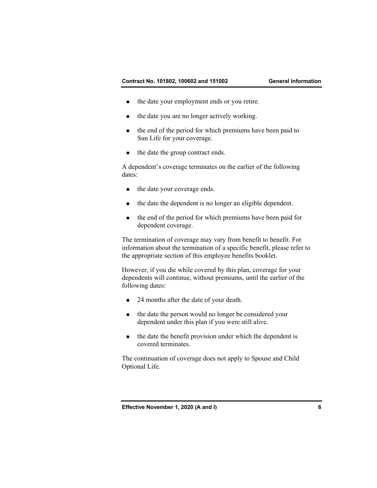- the date your employment ends or you retire.
- the date you are no longer actively working.
- the end of the period for which premiums have been paid to Sun Life for your coverage.
- the date the group contract ends.

 A dependent's coverage terminates on the earlier of the following dates:

- the date your coverage ends.
- the date the dependent is no longer an eligible dependent.
- the end of the period for which premiums have been paid for dependent coverage.

 The termination of coverage may vary from benefit to benefit. For information about the termination of a specific benefit, please refer to the appropriate section of this employee benefits booklet.

 However, if you die while covered by this plan, coverage for your dependents will continue, without premiums, until the earlier of the following dates:

- 24 months after the date of your death.
- the date the person would no longer be considered your dependent under this plan if you were still alive.
- $\blacksquare$  the date the benefit provision under which the dependent is covered terminates.

 The continuation of coverage does not apply to Spouse and Child Optional Life.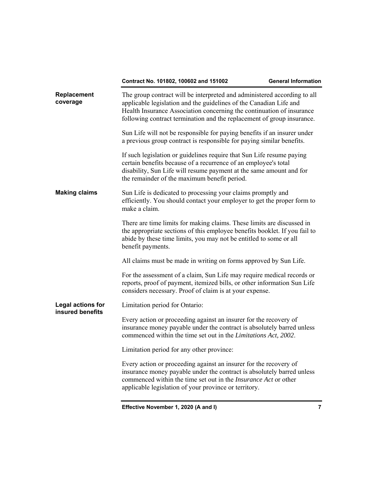| Replacement<br>coverage               | The group contract will be interpreted and administered according to all<br>applicable legislation and the guidelines of the Canadian Life and<br>Health Insurance Association concerning the continuation of insurance<br>following contract termination and the replacement of group insurance. |
|---------------------------------------|---------------------------------------------------------------------------------------------------------------------------------------------------------------------------------------------------------------------------------------------------------------------------------------------------|
|                                       | Sun Life will not be responsible for paying benefits if an insurer under<br>a previous group contract is responsible for paying similar benefits.                                                                                                                                                 |
|                                       | If such legislation or guidelines require that Sun Life resume paying<br>certain benefits because of a recurrence of an employee's total<br>disability, Sun Life will resume payment at the same amount and for<br>the remainder of the maximum benefit period.                                   |
| <b>Making claims</b>                  | Sun Life is dedicated to processing your claims promptly and<br>efficiently. You should contact your employer to get the proper form to<br>make a claim.                                                                                                                                          |
|                                       | There are time limits for making claims. These limits are discussed in<br>the appropriate sections of this employee benefits booklet. If you fail to<br>abide by these time limits, you may not be entitled to some or all<br>benefit payments.                                                   |
|                                       | All claims must be made in writing on forms approved by Sun Life.                                                                                                                                                                                                                                 |
|                                       | For the assessment of a claim, Sun Life may require medical records or<br>reports, proof of payment, itemized bills, or other information Sun Life<br>considers necessary. Proof of claim is at your expense.                                                                                     |
| Legal actions for<br>insured benefits | Limitation period for Ontario:                                                                                                                                                                                                                                                                    |
|                                       | Every action or proceeding against an insurer for the recovery of<br>insurance money payable under the contract is absolutely barred unless<br>commenced within the time set out in the <i>Limitations Act</i> , 2002.                                                                            |
|                                       | Limitation period for any other province:                                                                                                                                                                                                                                                         |
|                                       | Every action or proceeding against an insurer for the recovery of<br>insurance money payable under the contract is absolutely barred unless<br>commenced within the time set out in the <i>Insurance Act</i> or other<br>applicable legislation of your province or territory.                    |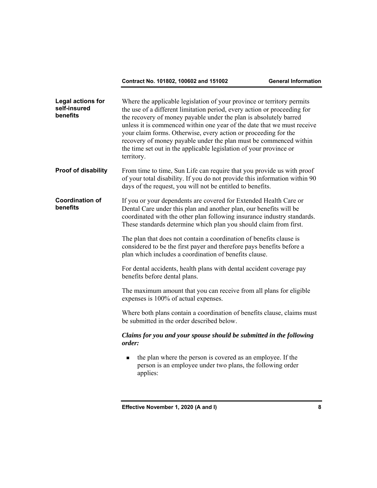| <b>Legal actions for</b><br>self-insured<br>benefits | Where the applicable legislation of your province or territory permits<br>the use of a different limitation period, every action or proceeding for<br>the recovery of money payable under the plan is absolutely barred<br>unless it is commenced within one year of the date that we must receive<br>your claim forms. Otherwise, every action or proceeding for the<br>recovery of money payable under the plan must be commenced within<br>the time set out in the applicable legislation of your province or<br>territory. |
|------------------------------------------------------|--------------------------------------------------------------------------------------------------------------------------------------------------------------------------------------------------------------------------------------------------------------------------------------------------------------------------------------------------------------------------------------------------------------------------------------------------------------------------------------------------------------------------------|
| <b>Proof of disability</b>                           | From time to time, Sun Life can require that you provide us with proof<br>of your total disability. If you do not provide this information within 90<br>days of the request, you will not be entitled to benefits.                                                                                                                                                                                                                                                                                                             |
| <b>Coordination of</b><br>benefits                   | If you or your dependents are covered for Extended Health Care or<br>Dental Care under this plan and another plan, our benefits will be<br>coordinated with the other plan following insurance industry standards.<br>These standards determine which plan you should claim from first.                                                                                                                                                                                                                                        |
|                                                      | The plan that does not contain a coordination of benefits clause is<br>considered to be the first payer and therefore pays benefits before a<br>plan which includes a coordination of benefits clause.                                                                                                                                                                                                                                                                                                                         |
|                                                      | For dental accidents, health plans with dental accident coverage pay<br>benefits before dental plans.                                                                                                                                                                                                                                                                                                                                                                                                                          |
|                                                      | The maximum amount that you can receive from all plans for eligible<br>expenses is 100% of actual expenses.                                                                                                                                                                                                                                                                                                                                                                                                                    |
|                                                      | Where both plans contain a coordination of benefits clause, claims must<br>be submitted in the order described below.                                                                                                                                                                                                                                                                                                                                                                                                          |
|                                                      | Claims for you and your spouse should be submitted in the following<br>order:                                                                                                                                                                                                                                                                                                                                                                                                                                                  |
|                                                      | the plan where the person is covered as an employee. If the<br>$\blacksquare$<br>person is an employee under two plans, the following order<br>applies:                                                                                                                                                                                                                                                                                                                                                                        |
|                                                      |                                                                                                                                                                                                                                                                                                                                                                                                                                                                                                                                |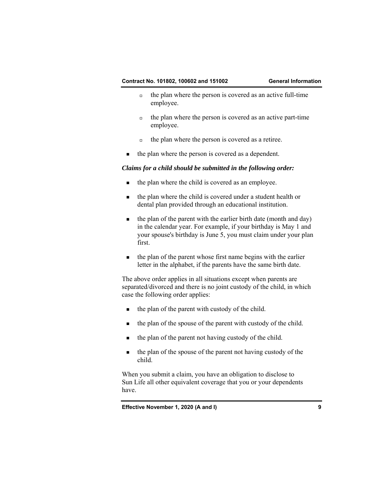- $\Box$  the plan where the person is covered as an active full-time employee.
- $\Box$  the plan where the person is covered as an active part-time employee.
- $\Box$  the plan where the person is covered as a retiree.
- the plan where the person is covered as a dependent.

## *Claims for a child should be submitted in the following order:*

- the plan where the child is covered as an employee.
- the plan where the child is covered under a student health or dental plan provided through an educational institution.
- the plan of the parent with the earlier birth date (month and day) in the calendar year. For example, if your birthday is May 1 and your spouse's birthday is June 5, you must claim under your plan first.
- the plan of the parent whose first name begins with the earlier letter in the alphabet, if the parents have the same birth date.

 The above order applies in all situations except when parents are separated/divorced and there is no joint custody of the child, in which case the following order applies:

- $\blacksquare$  the plan of the parent with custody of the child.
- the plan of the spouse of the parent with custody of the child.
- the plan of the parent not having custody of the child.
- the plan of the spouse of the parent not having custody of the child.

 When you submit a claim, you have an obligation to disclose to Sun Life all other equivalent coverage that you or your dependents have.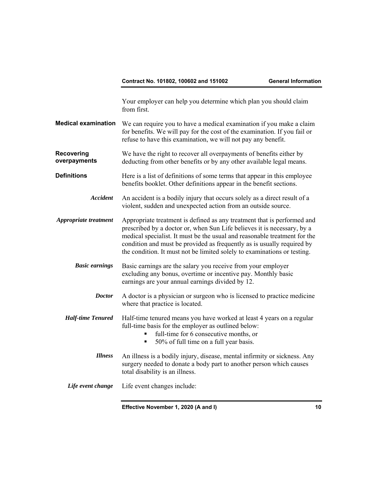Your employer can help you determine which plan you should claim from first.

- **Medical examination** We can require you to have a medical examination if you make a claim for benefits. We will pay for the cost of the examination. If you fail or refuse to have this examination, we will not pay any benefit.
- **Recovering overpayments**  We have the right to recover all overpayments of benefits either by deducting from other benefits or by any other available legal means.
- **Definitions Here** is a list of definitions of some terms that appear in this employee benefits booklet. Other definitions appear in the benefit sections.
	- *Accident* An accident is a bodily injury that occurs solely as a direct result of a violent, sudden and unexpected action from an outside source.
- *Appropriate treatment* Appropriate treatment is defined as any treatment that is performed and prescribed by a doctor or, when Sun Life believes it is necessary, by a medical specialist. It must be the usual and reasonable treatment for the condition and must be provided as frequently as is usually required by the condition. It must not be limited solely to examinations or testing.
	- **Basic earnings** Basic earnings are the salary you receive from your employer excluding any bonus, overtime or incentive pay. Monthly basic earnings are your annual earnings divided by 12.
		- *Doctor* A doctor is a physician or surgeon who is licensed to practice medicine where that practice is located.
	- *Half-time Tenured* Half-time tenured means you have worked at least 4 years on a regular full-time basis for the employer as outlined below:
		- full-time for 6 consecutive months, or
		- 50% of full time on a full year basis.
		- *Illness* An illness is a bodily injury, disease, mental infirmity or sickness. Any surgery needed to donate a body part to another person which causes total disability is an illness.
	- *Life event change* Life event changes include: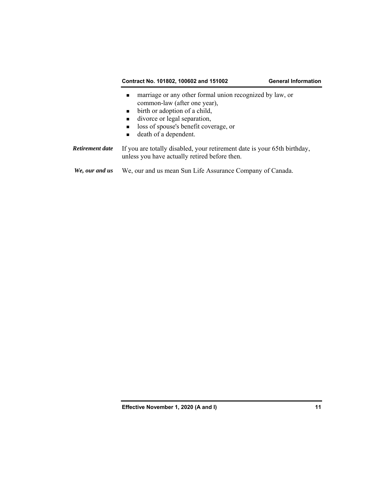- marriage or any other formal union recognized by law, or common-law (after one year),
- $\blacksquare$  birth or adoption of a child,
- divorce or legal separation,
- loss of spouse's benefit coverage, or
- death of a dependent.

*Retirement date* If you are totally disabled, your retirement date is your 65th birthday, unless you have actually retired before then.

*We, our and us* We, our and us mean Sun Life Assurance Company of Canada.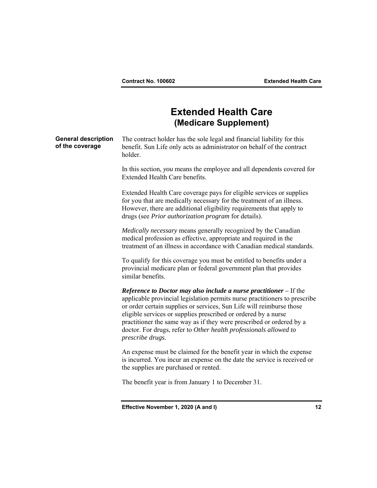## **Extended Health Care (Medicare Supplement)**

**General description of the coverage**  The contract holder has the sole legal and financial liability for this benefit. Sun Life only acts as administrator on behalf of the contract holder. In this section, *you* means the employee and all dependents covered for Extended Health Care benefits. Extended Health Care coverage pays for eligible services or supplies for you that are medically necessary for the treatment of an illness. However, there are additional eligibility requirements that apply to drugs (see *Prior authorization program* for details). *Medically necessary* means generally recognized by the Canadian medical profession as effective, appropriate and required in the treatment of an illness in accordance with Canadian medical standards. To qualify for this coverage you must be entitled to benefits under a provincial medicare plan or federal government plan that provides similar benefits. *Reference to Doctor may also include a nurse practitioner –* If the applicable provincial legislation permits nurse practitioners to prescribe or order certain supplies or services, Sun Life will reimburse those eligible services or supplies prescribed or ordered by a nurse practitioner the same way as if they were prescribed or ordered by a doctor. For drugs, refer to *Other health professionals allowed to prescribe drugs.* An expense must be claimed for the benefit year in which the expense is incurred. You incur an expense on the date the service is received or the supplies are purchased or rented. The benefit year is from January 1 to December 31.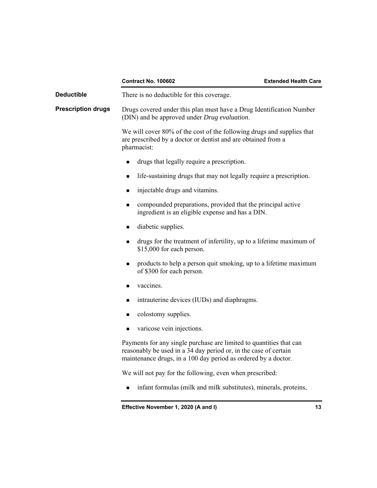|                           | <b>Contract No. 100602</b>                                                                                                                                                                                | <b>Extended Health Care</b> |
|---------------------------|-----------------------------------------------------------------------------------------------------------------------------------------------------------------------------------------------------------|-----------------------------|
| <b>Deductible</b>         | There is no deductible for this coverage.                                                                                                                                                                 |                             |
| <b>Prescription drugs</b> | Drugs covered under this plan must have a Drug Identification Number<br>(DIN) and be approved under Drug evaluation.                                                                                      |                             |
|                           | We will cover 80% of the cost of the following drugs and supplies that<br>are prescribed by a doctor or dentist and are obtained from a<br>pharmacist:                                                    |                             |
|                           | drugs that legally require a prescription.<br>п                                                                                                                                                           |                             |
|                           | life-sustaining drugs that may not legally require a prescription.<br>п                                                                                                                                   |                             |
|                           | injectable drugs and vitamins.<br>■                                                                                                                                                                       |                             |
|                           | compounded preparations, provided that the principal active<br>$\blacksquare$<br>ingredient is an eligible expense and has a DIN.                                                                         |                             |
|                           | diabetic supplies.<br>$\blacksquare$                                                                                                                                                                      |                             |
|                           | drugs for the treatment of infertility, up to a lifetime maximum of<br>٠<br>\$15,000 for each person.                                                                                                     |                             |
|                           | products to help a person quit smoking, up to a lifetime maximum<br>٠<br>of \$300 for each person.                                                                                                        |                             |
|                           | vaccines.<br>٠                                                                                                                                                                                            |                             |
|                           | intrauterine devices (IUDs) and diaphragms.<br>٠                                                                                                                                                          |                             |
|                           | colostomy supplies.<br>п                                                                                                                                                                                  |                             |
|                           | varicose vein injections.<br>п                                                                                                                                                                            |                             |
|                           | Payments for any single purchase are limited to quantities that can<br>reasonably be used in a 34 day period or, in the case of certain<br>maintenance drugs, in a 100 day period as ordered by a doctor. |                             |
|                           | We will not pay for the following, even when prescribed:                                                                                                                                                  |                             |
|                           | infant formulas (milk and milk substitutes), minerals, proteins,<br>■                                                                                                                                     |                             |
|                           | Effective November 1, 2020 (A and I)                                                                                                                                                                      | 13                          |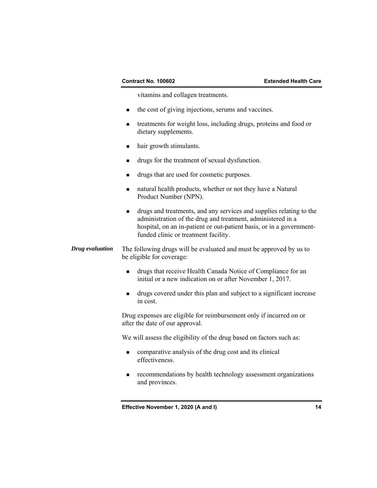vitamins and collagen treatments.

- $\blacksquare$  the cost of giving injections, serums and vaccines.
- treatments for weight loss, including drugs, proteins and food or dietary supplements.
- hair growth stimulants.
- drugs for the treatment of sexual dysfunction.
- drugs that are used for cosmetic purposes.
- natural health products, whether or not they have a Natural Product Number (NPN).
- drugs and treatments, and any services and supplies relating to the administration of the drug and treatment, administered in a hospital, on an in-patient or out-patient basis, or in a governmentfunded clinic or treatment facility.

*Drug evaluation* The following drugs will be evaluated and must be approved by us to be eligible for coverage:

- drugs that receive Health Canada Notice of Compliance for an initial or a new indication on or after November 1, 2017.
- drugs covered under this plan and subject to a significant increase in cost.

 Drug expenses are eligible for reimbursement only if incurred on or after the date of our approval.

We will assess the eligibility of the drug based on factors such as:

- comparative analysis of the drug cost and its clinical effectiveness.
- **recommendations by health technology assessment organizations** and provinces.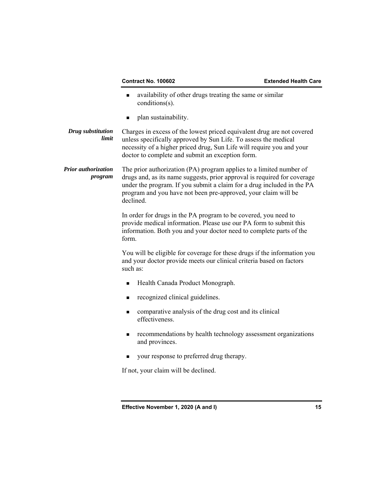- availability of other drugs treating the same or similar conditions(s).
- plan sustainability.
- *Drug substitution limit*  Charges in excess of the lowest priced equivalent drug are not covered unless specifically approved by Sun Life. To assess the medical necessity of a higher priced drug, Sun Life will require you and your doctor to complete and submit an exception form.
- *Prior authorization program*  The prior authorization (PA) program applies to a limited number of drugs and, as its name suggests, prior approval is required for coverage under the program. If you submit a claim for a drug included in the PA program and you have not been pre-approved, your claim will be declined.

 In order for drugs in the PA program to be covered, you need to provide medical information. Please use our PA form to submit this information. Both you and your doctor need to complete parts of the form.

 You will be eligible for coverage for these drugs if the information you and your doctor provide meets our clinical criteria based on factors such as:

- Health Canada Product Monograph.
- recognized clinical guidelines.
- comparative analysis of the drug cost and its clinical effectiveness.
- recommendations by health technology assessment organizations and provinces.
- vour response to preferred drug therapy.

If not, your claim will be declined.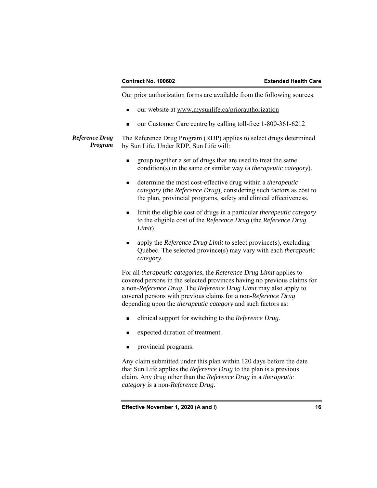Our prior authorization forms are available from the following sources:

- our website at www.mysunlife.ca/priorauthorization
- our Customer Care centre by calling toll-free 1-800-361-6212

*Reference Drug Program*  The Reference Drug Program (RDP) applies to select drugs determined by Sun Life. Under RDP, Sun Life will:

- group together a set of drugs that are used to treat the same condition(s) in the same or similar way (a *therapeutic category*).
- determine the most cost-effective drug within a *therapeutic category* (the *Reference Drug*), considering such factors as cost to the plan, provincial programs, safety and clinical effectiveness.
- limit the eligible cost of drugs in a particular *therapeutic category* to the eligible cost of the *Reference Drug* (the *Reference Drug Limit*).
- apply the *Reference Drug Limit* to select province(s), excluding Québec. The selected province(s) may vary with each *therapeutic category.*

 For all *therapeutic categories*, the *Reference Drug Limit* applies to covered persons in the selected provinces having no previous claims for a non-*Reference Drug*. The *Reference Drug Limit* may also apply to covered persons with previous claims for a non-*Reference Drug* depending upon the *therapeutic category* and such factors as:

- clinical support for switching to the *Reference Drug*.
- expected duration of treatment.
- provincial programs.

 Any claim submitted under this plan within 120 days before the date that Sun Life applies the *Reference Drug* to the plan is a previous claim. Any drug other than the *Reference Drug* in a *therapeutic category* is a non-*Reference Drug*.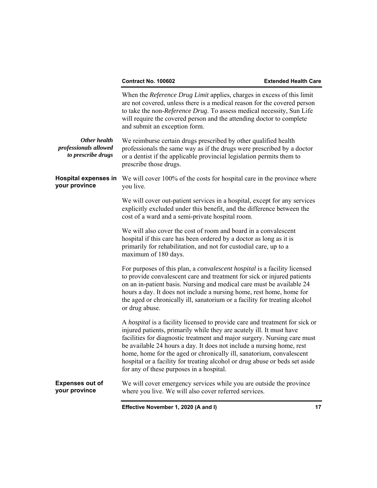|                                                             | When the Reference Drug Limit applies, charges in excess of this limit<br>are not covered, unless there is a medical reason for the covered person<br>to take the non-Reference Drug. To assess medical necessity, Sun Life<br>will require the covered person and the attending doctor to complete<br>and submit an exception form.                                                                                                                                                                        |
|-------------------------------------------------------------|-------------------------------------------------------------------------------------------------------------------------------------------------------------------------------------------------------------------------------------------------------------------------------------------------------------------------------------------------------------------------------------------------------------------------------------------------------------------------------------------------------------|
| Other health<br>professionals allowed<br>to prescribe drugs | We reimburse certain drugs prescribed by other qualified health<br>professionals the same way as if the drugs were prescribed by a doctor<br>or a dentist if the applicable provincial legislation permits them to<br>prescribe those drugs.                                                                                                                                                                                                                                                                |
| <b>Hospital expenses in</b><br>your province                | We will cover 100% of the costs for hospital care in the province where<br>you live.                                                                                                                                                                                                                                                                                                                                                                                                                        |
|                                                             | We will cover out-patient services in a hospital, except for any services<br>explicitly excluded under this benefit, and the difference between the<br>cost of a ward and a semi-private hospital room.                                                                                                                                                                                                                                                                                                     |
|                                                             | We will also cover the cost of room and board in a convalescent<br>hospital if this care has been ordered by a doctor as long as it is<br>primarily for rehabilitation, and not for custodial care, up to a<br>maximum of 180 days.                                                                                                                                                                                                                                                                         |
|                                                             | For purposes of this plan, a <i>convalescent hospital</i> is a facility licensed<br>to provide convalescent care and treatment for sick or injured patients<br>on an in-patient basis. Nursing and medical care must be available 24<br>hours a day. It does not include a nursing home, rest home, home for<br>the aged or chronically ill, sanatorium or a facility for treating alcohol<br>or drug abuse.                                                                                                |
|                                                             | A hospital is a facility licensed to provide care and treatment for sick or<br>injured patients, primarily while they are acutely ill. It must have<br>facilities for diagnostic treatment and major surgery. Nursing care must<br>be available 24 hours a day. It does not include a nursing home, rest<br>home, home for the aged or chronically ill, sanatorium, convalescent<br>hospital or a facility for treating alcohol or drug abuse or beds set aside<br>for any of these purposes in a hospital. |
| <b>Expenses out of</b><br>your province                     | We will cover emergency services while you are outside the province<br>where you live. We will also cover referred services.                                                                                                                                                                                                                                                                                                                                                                                |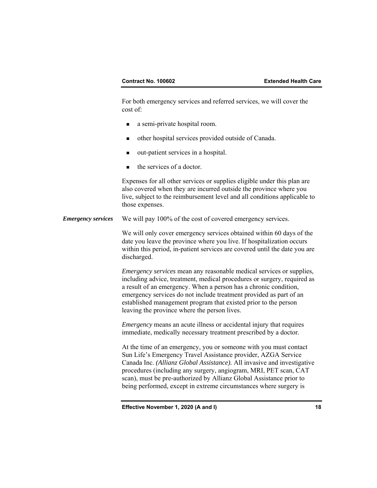For both emergency services and referred services, we will cover the cost of:

- a semi-private hospital room.
- other hospital services provided outside of Canada.
- out-patient services in a hospital.
- the services of a doctor.

 Expenses for all other services or supplies eligible under this plan are also covered when they are incurred outside the province where you live, subject to the reimbursement level and all conditions applicable to those expenses.

*Emergency services* We will pay 100% of the cost of covered emergency services.

 We will only cover emergency services obtained within 60 days of the date you leave the province where you live. If hospitalization occurs within this period, in-patient services are covered until the date you are discharged.

*Emergency services* mean any reasonable medical services or supplies, including advice, treatment, medical procedures or surgery, required as a result of an emergency. When a person has a chronic condition, emergency services do not include treatment provided as part of an established management program that existed prior to the person leaving the province where the person lives.

*Emergency* means an acute illness or accidental injury that requires immediate, medically necessary treatment prescribed by a doctor.

 At the time of an emergency, you or someone with you must contact Sun Life's Emergency Travel Assistance provider, AZGA Service Canada Inc. *(Allianz Global Assistance).* All invasive and investigative procedures (including any surgery, angiogram, MRI, PET scan, CAT scan), must be pre-authorized by Allianz Global Assistance prior to being performed, except in extreme circumstances where surgery is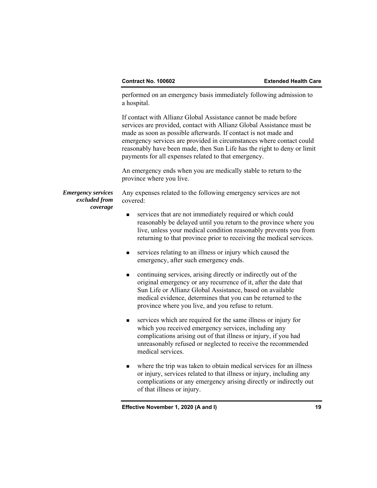performed on an emergency basis immediately following admission to a hospital.

 If contact with Allianz Global Assistance cannot be made before services are provided, contact with Allianz Global Assistance must be made as soon as possible afterwards. If contact is not made and emergency services are provided in circumstances where contact could reasonably have been made, then Sun Life has the right to deny or limit payments for all expenses related to that emergency.

 An emergency ends when you are medically stable to return to the province where you live.

*Emergency services excluded from coverage*  Any expenses related to the following emergency services are not covered:

- services that are not immediately required or which could reasonably be delayed until you return to the province where you live, unless your medical condition reasonably prevents you from returning to that province prior to receiving the medical services.
- services relating to an illness or injury which caused the emergency, after such emergency ends.
- continuing services, arising directly or indirectly out of the original emergency or any recurrence of it, after the date that Sun Life or Allianz Global Assistance, based on available medical evidence, determines that you can be returned to the province where you live, and you refuse to return.
- services which are required for the same illness or injury for which you received emergency services, including any complications arising out of that illness or injury, if you had unreasonably refused or neglected to receive the recommended medical services.
- where the trip was taken to obtain medical services for an illness or injury, services related to that illness or injury, including any complications or any emergency arising directly or indirectly out of that illness or injury.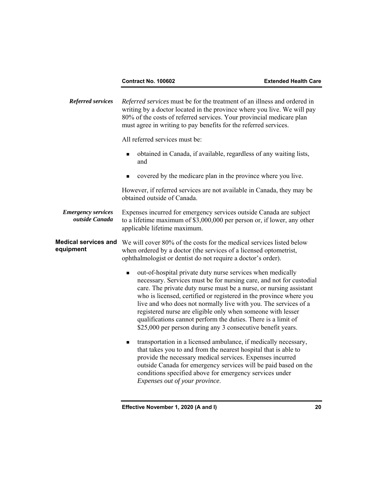*Referred services Referred services* must be for the treatment of an illness and ordered in writing by a doctor located in the province where you live. We will pay 80% of the costs of referred services. Your provincial medicare plan must agree in writing to pay benefits for the referred services. All referred services must be: obtained in Canada, if available, regardless of any waiting lists, and covered by the medicare plan in the province where you live. However, if referred services are not available in Canada, they may be obtained outside of Canada. *Emergency services outside Canada*  Expenses incurred for emergency services outside Canada are subject to a lifetime maximum of \$3,000,000 per person or, if lower, any other applicable lifetime maximum. **Medical services and equipment**  We will cover 80% of the costs for the medical services listed below when ordered by a doctor (the services of a licensed optometrist, ophthalmologist or dentist do not require a doctor's order). out-of-hospital private duty nurse services when medically necessary. Services must be for nursing care, and not for custodial care. The private duty nurse must be a nurse, or nursing assistant who is licensed, certified or registered in the province where you live and who does not normally live with you. The services of a registered nurse are eligible only when someone with lesser qualifications cannot perform the duties. There is a limit of \$25,000 per person during any 3 consecutive benefit years. transportation in a licensed ambulance, if medically necessary, that takes you to and from the nearest hospital that is able to provide the necessary medical services. Expenses incurred outside Canada for emergency services will be paid based on the conditions specified above for emergency services under *Expenses out of your province*.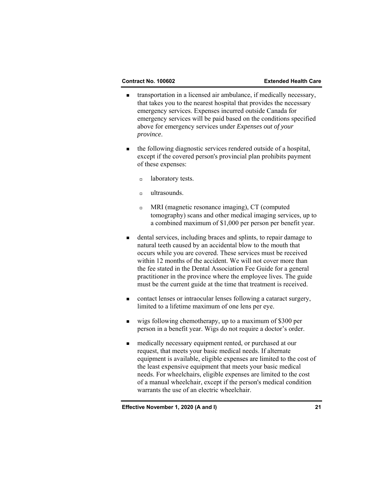- transportation in a licensed air ambulance, if medically necessary, that takes you to the nearest hospital that provides the necessary emergency services. Expenses incurred outside Canada for emergency services will be paid based on the conditions specified above for emergency services under *Expenses out of your province*.
- the following diagnostic services rendered outside of a hospital, except if the covered person's provincial plan prohibits payment of these expenses:
	- a laboratory tests.
	- $\Box$  ultrasounds.
	- MRI (magnetic resonance imaging), CT (computed tomography) scans and other medical imaging services, up to a combined maximum of \$1,000 per person per benefit year.
- dental services, including braces and splints, to repair damage to natural teeth caused by an accidental blow to the mouth that occurs while you are covered. These services must be received within 12 months of the accident. We will not cover more than the fee stated in the Dental Association Fee Guide for a general practitioner in the province where the employee lives. The guide must be the current guide at the time that treatment is received.
- contact lenses or intraocular lenses following a cataract surgery, limited to a lifetime maximum of one lens per eye.
- wigs following chemotherapy, up to a maximum of \$300 per person in a benefit year. Wigs do not require a doctor's order.
- medically necessary equipment rented, or purchased at our request, that meets your basic medical needs. If alternate equipment is available, eligible expenses are limited to the cost of the least expensive equipment that meets your basic medical needs. For wheelchairs, eligible expenses are limited to the cost of a manual wheelchair, except if the person's medical condition warrants the use of an electric wheelchair.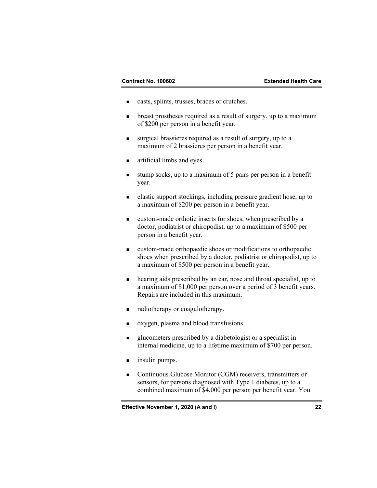- casts, splints, trusses, braces or crutches.
- **•** breast prostheses required as a result of surgery, up to a maximum of \$200 per person in a benefit year.
- surgical brassieres required as a result of surgery, up to a maximum of 2 brassieres per person in a benefit year.
- **artificial limbs and eyes.**
- stump socks, up to a maximum of 5 pairs per person in a benefit year.
- elastic support stockings, including pressure gradient hose, up to a maximum of \$200 per person in a benefit year.
- custom-made orthotic inserts for shoes, when prescribed by a doctor, podiatrist or chiropodist, up to a maximum of \$500 per person in a benefit year.
- custom-made orthopaedic shoes or modifications to orthopaedic shoes when prescribed by a doctor, podiatrist or chiropodist, up to a maximum of \$500 per person in a benefit year.
- hearing aids prescribed by an ear, nose and throat specialist, up to a maximum of \$1,000 per person over a period of 3 benefit years. Repairs are included in this maximum.
- radiotherapy or coagulotherapy.
- oxygen, plasma and blood transfusions.
- glucometers prescribed by a diabetologist or a specialist in internal medicine, up to a lifetime maximum of \$700 per person.
- **n** insulin pumps.
- Continuous Glucose Monitor (CGM) receivers, transmitters or sensors, for persons diagnosed with Type 1 diabetes, up to a combined maximum of \$4,000 per person per benefit year. You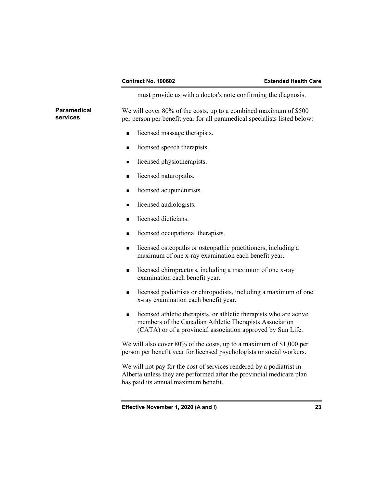must provide us with a doctor's note confirming the diagnosis.

**Paramedical services**  We will cover 80% of the costs, up to a combined maximum of \$500 per person per benefit year for all paramedical specialists listed below:

- licensed massage therapists.
- licensed speech therapists.
- licensed physiotherapists.
- licensed naturopaths.
- licensed acupuncturists.
- licensed audiologists.
- licensed dieticians.
- **In the licensed occupational therapists.**
- **I** licensed osteopaths or osteopathic practitioners, including a maximum of one x-ray examination each benefit year.
- licensed chiropractors, including a maximum of one x-ray examination each benefit year.
- **I** licensed podiatrists or chiropodists, including a maximum of one x-ray examination each benefit year.
- licensed athletic therapists, or athletic therapists who are active members of the Canadian Athletic Therapists Association (CATA) or of a provincial association approved by Sun Life.

 We will also cover 80% of the costs, up to a maximum of \$1,000 per person per benefit year for licensed psychologists or social workers.

 We will not pay for the cost of services rendered by a podiatrist in Alberta unless they are performed after the provincial medicare plan has paid its annual maximum benefit.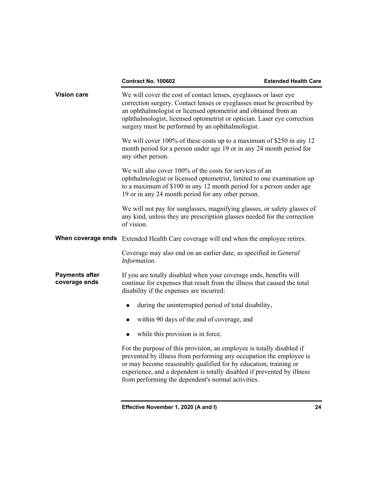|                                        | <b>Contract No. 100602</b>                                                                                                                                                                                                                                                                                                                        | <b>Extended Health Care</b> |
|----------------------------------------|---------------------------------------------------------------------------------------------------------------------------------------------------------------------------------------------------------------------------------------------------------------------------------------------------------------------------------------------------|-----------------------------|
| <b>Vision care</b>                     | We will cover the cost of contact lenses, eyeglasses or laser eye<br>correction surgery. Contact lenses or eyeglasses must be prescribed by<br>an ophthalmologist or licensed optometrist and obtained from an<br>ophthalmologist, licensed optometrist or optician. Laser eye correction<br>surgery must be performed by an ophthalmologist.     |                             |
|                                        | We will cover 100% of these costs up to a maximum of \$250 in any 12<br>month period for a person under age 19 or in any 24 month period for<br>any other person.                                                                                                                                                                                 |                             |
|                                        | We will also cover 100% of the costs for services of an<br>ophthalmologist or licensed optometrist, limited to one examination up<br>to a maximum of \$100 in any 12 month period for a person under age<br>19 or in any 24 month period for any other person.                                                                                    |                             |
|                                        | We will not pay for sunglasses, magnifying glasses, or safety glasses of<br>any kind, unless they are prescription glasses needed for the correction<br>of vision.                                                                                                                                                                                |                             |
|                                        | When coverage ends Extended Health Care coverage will end when the employee retires.                                                                                                                                                                                                                                                              |                             |
|                                        | Coverage may also end on an earlier date, as specified in General<br>Information.                                                                                                                                                                                                                                                                 |                             |
| <b>Payments after</b><br>coverage ends | If you are totally disabled when your coverage ends, benefits will<br>continue for expenses that result from the illness that caused the total<br>disability if the expenses are incurred:                                                                                                                                                        |                             |
|                                        | during the uninterrupted period of total disability,<br>$\blacksquare$                                                                                                                                                                                                                                                                            |                             |
|                                        | within 90 days of the end of coverage, and<br>$\blacksquare$                                                                                                                                                                                                                                                                                      |                             |
|                                        | while this provision is in force.<br>■                                                                                                                                                                                                                                                                                                            |                             |
|                                        | For the purpose of this provision, an employee is totally disabled if<br>prevented by illness from performing any occupation the employee is<br>or may become reasonably qualified for by education, training or<br>experience, and a dependent is totally disabled if prevented by illness<br>from performing the dependent's normal activities. |                             |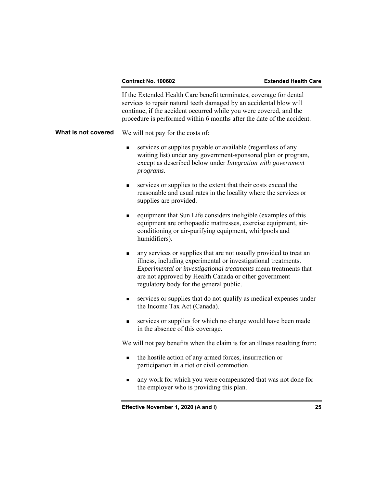### **Contract No. 100602 Extended Health Care**

 If the Extended Health Care benefit terminates, coverage for dental services to repair natural teeth damaged by an accidental blow will continue, if the accident occurred while you were covered, and the procedure is performed within 6 months after the date of the accident.

**What is not covered** We will not pay for the costs of:

- services or supplies payable or available (regardless of any waiting list) under any government-sponsored plan or program, except as described below under *Integration with government programs*.
- services or supplies to the extent that their costs exceed the reasonable and usual rates in the locality where the services or supplies are provided.
- equipment that Sun Life considers ineligible (examples of this equipment are orthopaedic mattresses, exercise equipment, airconditioning or air-purifying equipment, whirlpools and humidifiers).
- any services or supplies that are not usually provided to treat an illness, including experimental or investigational treatments. *Experimental or investigational treatments* mean treatments that are not approved by Health Canada or other government regulatory body for the general public.
- services or supplies that do not qualify as medical expenses under the Income Tax Act (Canada).
- services or supplies for which no charge would have been made in the absence of this coverage.

We will not pay benefits when the claim is for an illness resulting from:

- the hostile action of any armed forces, insurrection or participation in a riot or civil commotion.
- any work for which you were compensated that was not done for the employer who is providing this plan.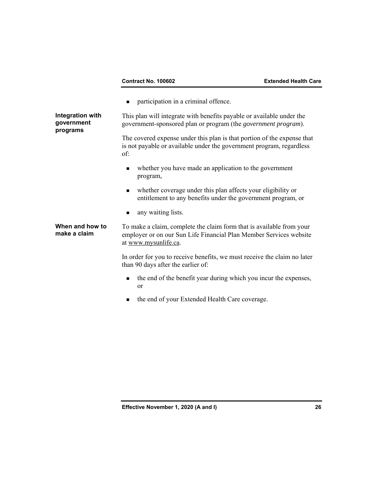**n** participation in a criminal offence.

**Integration with government programs**  This plan will integrate with benefits payable or available under the government-sponsored plan or program (the *government program*).

> The covered expense under this plan is that portion of the expense that is not payable or available under the government program, regardless of:

- whether you have made an application to the government program,
- whether coverage under this plan affects your eligibility or entitlement to any benefits under the government program, or
- **a** any waiting lists.

## **When and how to make a claim**

To make a claim, complete the claim form that is available from your employer or on our Sun Life Financial Plan Member Services website at www.mysunlife.ca.

 In order for you to receive benefits, we must receive the claim no later than 90 days after the earlier of:

- the end of the benefit year during which you incur the expenses, or
- the end of your Extended Health Care coverage.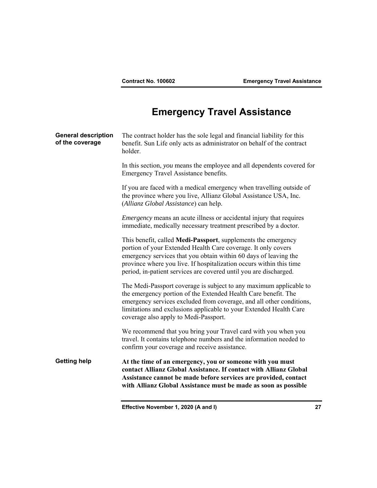# **Emergency Travel Assistance**

| <b>General description</b><br>of the coverage | The contract holder has the sole legal and financial liability for this<br>benefit. Sun Life only acts as administrator on behalf of the contract<br>holder.                                                                                                                                                                                   |
|-----------------------------------------------|------------------------------------------------------------------------------------------------------------------------------------------------------------------------------------------------------------------------------------------------------------------------------------------------------------------------------------------------|
|                                               | In this section, you means the employee and all dependents covered for<br>Emergency Travel Assistance benefits.                                                                                                                                                                                                                                |
|                                               | If you are faced with a medical emergency when travelling outside of<br>the province where you live, Allianz Global Assistance USA, Inc.<br>(Allianz Global Assistance) can help.                                                                                                                                                              |
|                                               | <i>Emergency</i> means an acute illness or accidental injury that requires<br>immediate, medically necessary treatment prescribed by a doctor.                                                                                                                                                                                                 |
|                                               | This benefit, called Medi-Passport, supplements the emergency<br>portion of your Extended Health Care coverage. It only covers<br>emergency services that you obtain within 60 days of leaving the<br>province where you live. If hospitalization occurs within this time<br>period, in-patient services are covered until you are discharged. |
|                                               | The Medi-Passport coverage is subject to any maximum applicable to<br>the emergency portion of the Extended Health Care benefit. The<br>emergency services excluded from coverage, and all other conditions,<br>limitations and exclusions applicable to your Extended Health Care<br>coverage also apply to Medi-Passport.                    |
|                                               | We recommend that you bring your Travel card with you when you<br>travel. It contains telephone numbers and the information needed to<br>confirm your coverage and receive assistance.                                                                                                                                                         |
| <b>Getting help</b>                           | At the time of an emergency, you or someone with you must<br>contact Allianz Global Assistance. If contact with Allianz Global<br>Assistance cannot be made before services are provided, contact<br>with Allianz Global Assistance must be made as soon as possible                                                                           |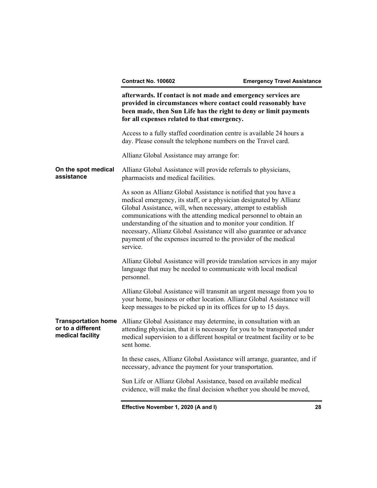**afterwards. If contact is not made and emergency services are provided in circumstances where contact could reasonably have been made, then Sun Life has the right to deny or limit payments for all expenses related to that emergency.** 

 Access to a fully staffed coordination centre is available 24 hours a day. Please consult the telephone numbers on the Travel card.

Allianz Global Assistance may arrange for:

### **On the spot medical assistance**  Allianz Global Assistance will provide referrals to physicians, pharmacists and medical facilities.

 As soon as Allianz Global Assistance is notified that you have a medical emergency, its staff, or a physician designated by Allianz Global Assistance, will, when necessary, attempt to establish communications with the attending medical personnel to obtain an understanding of the situation and to monitor your condition. If necessary, Allianz Global Assistance will also guarantee or advance payment of the expenses incurred to the provider of the medical service.

 Allianz Global Assistance will provide translation services in any major language that may be needed to communicate with local medical personnel.

 Allianz Global Assistance will transmit an urgent message from you to your home, business or other location. Allianz Global Assistance will keep messages to be picked up in its offices for up to 15 days.

**Transportation home**  Allianz Global Assistance may determine, in consultation with an **or to a different medical facility**  attending physician, that it is necessary for you to be transported under medical supervision to a different hospital or treatment facility or to be sent home.

> In these cases, Allianz Global Assistance will arrange, guarantee, and if necessary, advance the payment for your transportation.

 Sun Life or Allianz Global Assistance, based on available medical evidence, will make the final decision whether you should be moved,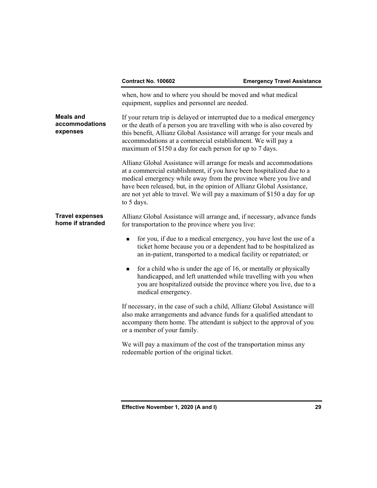|                                                | <b>Contract No. 100602</b>                                                                                                                                                                                                                                                                                                                                                          | <b>Emergency Travel Assistance</b> |
|------------------------------------------------|-------------------------------------------------------------------------------------------------------------------------------------------------------------------------------------------------------------------------------------------------------------------------------------------------------------------------------------------------------------------------------------|------------------------------------|
|                                                | when, how and to where you should be moved and what medical<br>equipment, supplies and personnel are needed.                                                                                                                                                                                                                                                                        |                                    |
| <b>Meals and</b><br>accommodations<br>expenses | If your return trip is delayed or interrupted due to a medical emergency<br>or the death of a person you are travelling with who is also covered by<br>this benefit, Allianz Global Assistance will arrange for your meals and<br>accommodations at a commercial establishment. We will pay a<br>maximum of \$150 a day for each person for up to 7 days.                           |                                    |
|                                                | Allianz Global Assistance will arrange for meals and accommodations<br>at a commercial establishment, if you have been hospitalized due to a<br>medical emergency while away from the province where you live and<br>have been released, but, in the opinion of Allianz Global Assistance,<br>are not yet able to travel. We will pay a maximum of \$150 a day for up<br>to 5 days. |                                    |
| <b>Travel expenses</b><br>home if stranded     | Allianz Global Assistance will arrange and, if necessary, advance funds<br>for transportation to the province where you live:                                                                                                                                                                                                                                                       |                                    |
|                                                | for you, if due to a medical emergency, you have lost the use of a<br>п<br>ticket home because you or a dependent had to be hospitalized as<br>an in-patient, transported to a medical facility or repatriated; or                                                                                                                                                                  |                                    |
|                                                | for a child who is under the age of 16, or mentally or physically<br>$\blacksquare$<br>handicapped, and left unattended while travelling with you when<br>you are hospitalized outside the province where you live, due to a<br>medical emergency.                                                                                                                                  |                                    |
|                                                | If necessary, in the case of such a child, Allianz Global Assistance will<br>also make arrangements and advance funds for a qualified attendant to<br>accompany them home. The attendant is subject to the approval of you<br>or a member of your family.                                                                                                                           |                                    |
|                                                | We will pay a maximum of the cost of the transportation minus any<br>redeemable portion of the original ticket.                                                                                                                                                                                                                                                                     |                                    |
|                                                |                                                                                                                                                                                                                                                                                                                                                                                     |                                    |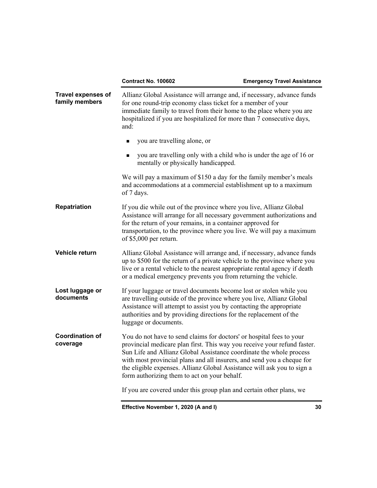|                                             | <b>Contract No. 100602</b>                                                                                                                                                                                                                                                                                                                                                                                                   | <b>Emergency Travel Assistance</b> |
|---------------------------------------------|------------------------------------------------------------------------------------------------------------------------------------------------------------------------------------------------------------------------------------------------------------------------------------------------------------------------------------------------------------------------------------------------------------------------------|------------------------------------|
| <b>Travel expenses of</b><br>family members | Allianz Global Assistance will arrange and, if necessary, advance funds<br>for one round-trip economy class ticket for a member of your<br>immediate family to travel from their home to the place where you are<br>hospitalized if you are hospitalized for more than 7 consecutive days,<br>and:                                                                                                                           |                                    |
|                                             | you are travelling alone, or<br>٠                                                                                                                                                                                                                                                                                                                                                                                            |                                    |
|                                             | you are travelling only with a child who is under the age of 16 or<br>$\blacksquare$<br>mentally or physically handicapped.                                                                                                                                                                                                                                                                                                  |                                    |
|                                             | We will pay a maximum of \$150 a day for the family member's meals<br>and accommodations at a commercial establishment up to a maximum<br>of 7 days.                                                                                                                                                                                                                                                                         |                                    |
| <b>Repatriation</b>                         | If you die while out of the province where you live, Allianz Global<br>Assistance will arrange for all necessary government authorizations and<br>for the return of your remains, in a container approved for<br>transportation, to the province where you live. We will pay a maximum<br>of $$5,000$ per return.                                                                                                            |                                    |
| Vehicle return                              | Allianz Global Assistance will arrange and, if necessary, advance funds<br>up to \$500 for the return of a private vehicle to the province where you<br>live or a rental vehicle to the nearest appropriate rental agency if death<br>or a medical emergency prevents you from returning the vehicle.                                                                                                                        |                                    |
| Lost luggage or<br>documents                | If your luggage or travel documents become lost or stolen while you<br>are travelling outside of the province where you live, Allianz Global<br>Assistance will attempt to assist you by contacting the appropriate<br>authorities and by providing directions for the replacement of the<br>luggage or documents.                                                                                                           |                                    |
| <b>Coordination of</b><br>coverage          | You do not have to send claims for doctors' or hospital fees to your<br>provincial medicare plan first. This way you receive your refund faster.<br>Sun Life and Allianz Global Assistance coordinate the whole process<br>with most provincial plans and all insurers, and send you a cheque for<br>the eligible expenses. Allianz Global Assistance will ask you to sign a<br>form authorizing them to act on your behalf. |                                    |
|                                             | If you are covered under this group plan and certain other plans, we                                                                                                                                                                                                                                                                                                                                                         |                                    |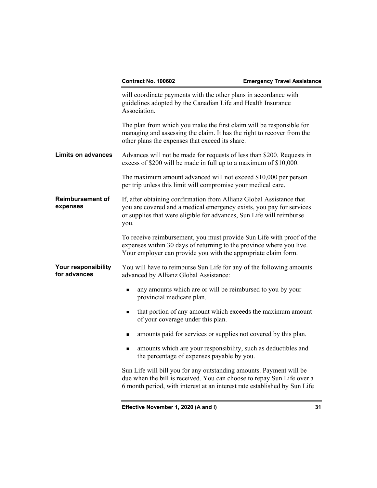|                                                                                                                                                                                                                 | <b>Contract No. 100602</b>                                                                                                                                                                                                   | <b>Emergency Travel Assistance</b> |
|-----------------------------------------------------------------------------------------------------------------------------------------------------------------------------------------------------------------|------------------------------------------------------------------------------------------------------------------------------------------------------------------------------------------------------------------------------|------------------------------------|
|                                                                                                                                                                                                                 | will coordinate payments with the other plans in accordance with<br>guidelines adopted by the Canadian Life and Health Insurance<br>Association.                                                                             |                                    |
|                                                                                                                                                                                                                 | The plan from which you make the first claim will be responsible for<br>managing and assessing the claim. It has the right to recover from the<br>other plans the expenses that exceed its share.                            |                                    |
| <b>Limits on advances</b>                                                                                                                                                                                       | Advances will not be made for requests of less than \$200. Requests in<br>excess of \$200 will be made in full up to a maximum of \$10,000.                                                                                  |                                    |
|                                                                                                                                                                                                                 | The maximum amount advanced will not exceed \$10,000 per person<br>per trip unless this limit will compromise your medical care.                                                                                             |                                    |
| <b>Reimbursement of</b><br>expenses                                                                                                                                                                             | If, after obtaining confirmation from Allianz Global Assistance that<br>you are covered and a medical emergency exists, you pay for services<br>or supplies that were eligible for advances, Sun Life will reimburse<br>you. |                                    |
| To receive reimbursement, you must provide Sun Life with proof of the<br>expenses within 30 days of returning to the province where you live.<br>Your employer can provide you with the appropriate claim form. |                                                                                                                                                                                                                              |                                    |
| Your responsibility<br>for advances                                                                                                                                                                             | You will have to reimburse Sun Life for any of the following amounts<br>advanced by Allianz Global Assistance:                                                                                                               |                                    |
|                                                                                                                                                                                                                 | any amounts which are or will be reimbursed to you by your<br>$\blacksquare$<br>provincial medicare plan.                                                                                                                    |                                    |
|                                                                                                                                                                                                                 | that portion of any amount which exceeds the maximum amount<br>п<br>of your coverage under this plan.                                                                                                                        |                                    |
|                                                                                                                                                                                                                 | amounts paid for services or supplies not covered by this plan.<br>٠                                                                                                                                                         |                                    |
|                                                                                                                                                                                                                 | amounts which are your responsibility, such as deductibles and<br>$\blacksquare$<br>the percentage of expenses payable by you.                                                                                               |                                    |
|                                                                                                                                                                                                                 | Sun Life will bill you for any outstanding amounts. Payment will be<br>due when the bill is received. You can choose to repay Sun Life over a<br>6 month period, with interest at an interest rate established by Sun Life   |                                    |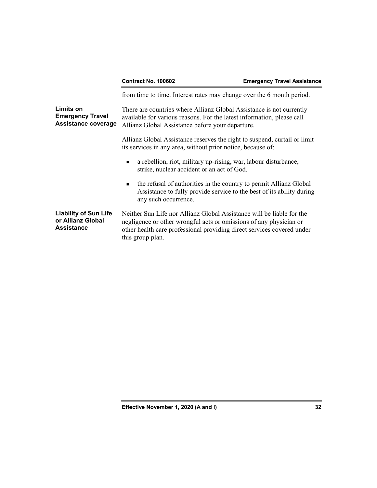|                                                                        | <b>Contract No. 100602</b>                                                                                                                                                                                                                | <b>Emergency Travel Assistance</b> |
|------------------------------------------------------------------------|-------------------------------------------------------------------------------------------------------------------------------------------------------------------------------------------------------------------------------------------|------------------------------------|
|                                                                        | from time to time. Interest rates may change over the 6 month period.                                                                                                                                                                     |                                    |
| Limits on<br><b>Emergency Travel</b><br><b>Assistance coverage</b>     | There are countries where Allianz Global Assistance is not currently<br>available for various reasons. For the latest information, please call<br>Allianz Global Assistance before your departure.                                        |                                    |
|                                                                        | Allianz Global Assistance reserves the right to suspend, curtail or limit<br>its services in any area, without prior notice, because of:                                                                                                  |                                    |
|                                                                        | a rebellion, riot, military up-rising, war, labour disturbance,<br>$\blacksquare$<br>strike, nuclear accident or an act of God.                                                                                                           |                                    |
|                                                                        | the refusal of authorities in the country to permit Allianz Global<br>$\blacksquare$<br>Assistance to fully provide service to the best of its ability during<br>any such occurrence.                                                     |                                    |
| <b>Liability of Sun Life</b><br>or Allianz Global<br><b>Assistance</b> | Neither Sun Life nor Allianz Global Assistance will be liable for the<br>negligence or other wrongful acts or omissions of any physician or<br>other health care professional providing direct services covered under<br>this group plan. |                                    |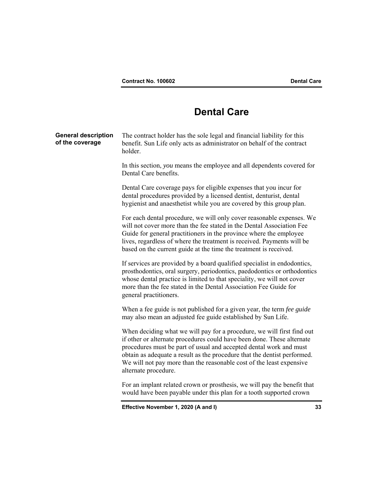## **Dental Care**

|                                               | Effective November 1, 2020 (A and I)                                                                                                                                                                                                                                                                                                                                                               | 33 |
|-----------------------------------------------|----------------------------------------------------------------------------------------------------------------------------------------------------------------------------------------------------------------------------------------------------------------------------------------------------------------------------------------------------------------------------------------------------|----|
|                                               | For an implant related crown or prosthesis, we will pay the benefit that<br>would have been payable under this plan for a tooth supported crown                                                                                                                                                                                                                                                    |    |
|                                               | When deciding what we will pay for a procedure, we will first find out<br>if other or alternate procedures could have been done. These alternate<br>procedures must be part of usual and accepted dental work and must<br>obtain as adequate a result as the procedure that the dentist performed.<br>We will not pay more than the reasonable cost of the least expensive<br>alternate procedure. |    |
|                                               | When a fee guide is not published for a given year, the term fee guide<br>may also mean an adjusted fee guide established by Sun Life.                                                                                                                                                                                                                                                             |    |
|                                               | If services are provided by a board qualified specialist in endodontics,<br>prosthodontics, oral surgery, periodontics, paedodontics or orthodontics<br>whose dental practice is limited to that speciality, we will not cover<br>more than the fee stated in the Dental Association Fee Guide for<br>general practitioners.                                                                       |    |
|                                               | For each dental procedure, we will only cover reasonable expenses. We<br>will not cover more than the fee stated in the Dental Association Fee<br>Guide for general practitioners in the province where the employee<br>lives, regardless of where the treatment is received. Payments will be<br>based on the current guide at the time the treatment is received.                                |    |
|                                               | Dental Care coverage pays for eligible expenses that you incur for<br>dental procedures provided by a licensed dentist, denturist, dental<br>hygienist and anaesthetist while you are covered by this group plan.                                                                                                                                                                                  |    |
|                                               | In this section, you means the employee and all dependents covered for<br>Dental Care benefits.                                                                                                                                                                                                                                                                                                    |    |
| <b>General description</b><br>of the coverage | The contract holder has the sole legal and financial liability for this<br>benefit. Sun Life only acts as administrator on behalf of the contract<br>holder.                                                                                                                                                                                                                                       |    |
|                                               |                                                                                                                                                                                                                                                                                                                                                                                                    |    |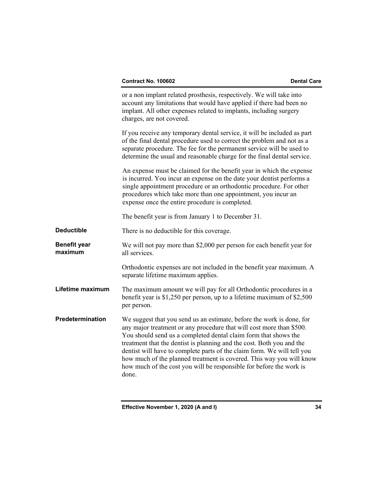|                                | or a non implant related prosthesis, respectively. We will take into<br>account any limitations that would have applied if there had been no<br>implant. All other expenses related to implants, including surgery<br>charges, are not covered.                                                                                                                                                                                                                                                                              |
|--------------------------------|------------------------------------------------------------------------------------------------------------------------------------------------------------------------------------------------------------------------------------------------------------------------------------------------------------------------------------------------------------------------------------------------------------------------------------------------------------------------------------------------------------------------------|
|                                | If you receive any temporary dental service, it will be included as part<br>of the final dental procedure used to correct the problem and not as a<br>separate procedure. The fee for the permanent service will be used to<br>determine the usual and reasonable charge for the final dental service.                                                                                                                                                                                                                       |
|                                | An expense must be claimed for the benefit year in which the expense<br>is incurred. You incur an expense on the date your dentist performs a<br>single appointment procedure or an orthodontic procedure. For other<br>procedures which take more than one appointment, you incur an<br>expense once the entire procedure is completed.                                                                                                                                                                                     |
|                                | The benefit year is from January 1 to December 31.                                                                                                                                                                                                                                                                                                                                                                                                                                                                           |
| <b>Deductible</b>              | There is no deductible for this coverage.                                                                                                                                                                                                                                                                                                                                                                                                                                                                                    |
| <b>Benefit year</b><br>maximum | We will not pay more than \$2,000 per person for each benefit year for<br>all services.                                                                                                                                                                                                                                                                                                                                                                                                                                      |
|                                | Orthodontic expenses are not included in the benefit year maximum. A<br>separate lifetime maximum applies.                                                                                                                                                                                                                                                                                                                                                                                                                   |
| Lifetime maximum               | The maximum amount we will pay for all Orthodontic procedures in a<br>benefit year is $$1,250$ per person, up to a lifetime maximum of $$2,500$<br>per person.                                                                                                                                                                                                                                                                                                                                                               |
| Predetermination               | We suggest that you send us an estimate, before the work is done, for<br>any major treatment or any procedure that will cost more than \$500.<br>You should send us a completed dental claim form that shows the<br>treatment that the dentist is planning and the cost. Both you and the<br>dentist will have to complete parts of the claim form. We will tell you<br>how much of the planned treatment is covered. This way you will know<br>how much of the cost you will be responsible for before the work is<br>done. |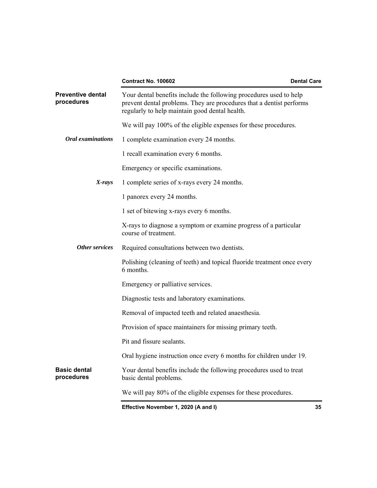|                                        | <b>Contract No. 100602</b>                                                                                                                                                                   | <b>Dental Care</b> |
|----------------------------------------|----------------------------------------------------------------------------------------------------------------------------------------------------------------------------------------------|--------------------|
| <b>Preventive dental</b><br>procedures | Your dental benefits include the following procedures used to help<br>prevent dental problems. They are procedures that a dentist performs<br>regularly to help maintain good dental health. |                    |
|                                        | We will pay 100% of the eligible expenses for these procedures.                                                                                                                              |                    |
| <b>Oral examinations</b>               | 1 complete examination every 24 months.                                                                                                                                                      |                    |
|                                        | 1 recall examination every 6 months.                                                                                                                                                         |                    |
|                                        | Emergency or specific examinations.                                                                                                                                                          |                    |
| $X$ -rays                              | 1 complete series of x-rays every 24 months.                                                                                                                                                 |                    |
|                                        | 1 panorex every 24 months.                                                                                                                                                                   |                    |
|                                        | 1 set of bitewing x-rays every 6 months.                                                                                                                                                     |                    |
|                                        | X-rays to diagnose a symptom or examine progress of a particular<br>course of treatment.                                                                                                     |                    |
| Other services                         | Required consultations between two dentists.                                                                                                                                                 |                    |
|                                        | Polishing (cleaning of teeth) and topical fluoride treatment once every<br>6 months.                                                                                                         |                    |
|                                        | Emergency or palliative services.                                                                                                                                                            |                    |
|                                        | Diagnostic tests and laboratory examinations.                                                                                                                                                |                    |
|                                        | Removal of impacted teeth and related anaesthesia.                                                                                                                                           |                    |
|                                        | Provision of space maintainers for missing primary teeth.                                                                                                                                    |                    |
|                                        | Pit and fissure sealants.                                                                                                                                                                    |                    |
|                                        | Oral hygiene instruction once every 6 months for children under 19.                                                                                                                          |                    |
| <b>Basic dental</b><br>procedures      | Your dental benefits include the following procedures used to treat<br>basic dental problems.                                                                                                |                    |
|                                        | We will pay 80% of the eligible expenses for these procedures.                                                                                                                               |                    |
|                                        | Effective November 1, 2020 (A and I)                                                                                                                                                         | 35                 |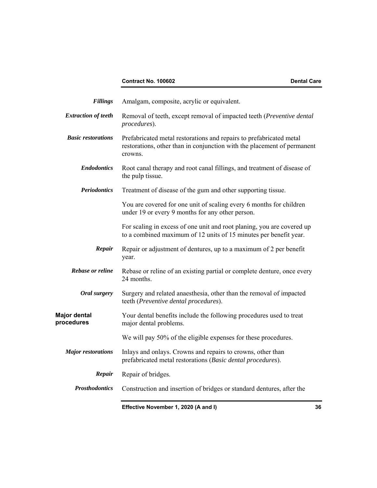### **Contract No. 100602** Dental Care

| <b>Fillings</b>                   | Amalgam, composite, acrylic or equivalent.                                                                                                                |    |
|-----------------------------------|-----------------------------------------------------------------------------------------------------------------------------------------------------------|----|
| <b>Extraction of teeth</b>        | Removal of teeth, except removal of impacted teeth (Preventive dental<br>procedures).                                                                     |    |
| <b>Basic restorations</b>         | Prefabricated metal restorations and repairs to prefabricated metal<br>restorations, other than in conjunction with the placement of permanent<br>crowns. |    |
| <b>Endodontics</b>                | Root canal therapy and root canal fillings, and treatment of disease of<br>the pulp tissue.                                                               |    |
| <b>Periodontics</b>               | Treatment of disease of the gum and other supporting tissue.                                                                                              |    |
|                                   | You are covered for one unit of scaling every 6 months for children<br>under 19 or every 9 months for any other person.                                   |    |
|                                   | For scaling in excess of one unit and root planing, you are covered up<br>to a combined maximum of 12 units of 15 minutes per benefit year.               |    |
| Repair                            | Repair or adjustment of dentures, up to a maximum of 2 per benefit<br>year.                                                                               |    |
| Rebase or reline                  | Rebase or reline of an existing partial or complete denture, once every<br>24 months.                                                                     |    |
| Oral surgery                      | Surgery and related anaesthesia, other than the removal of impacted<br>teeth (Preventive dental procedures).                                              |    |
| <b>Major dental</b><br>procedures | Your dental benefits include the following procedures used to treat<br>major dental problems.                                                             |    |
|                                   | We will pay 50% of the eligible expenses for these procedures.                                                                                            |    |
| <b>Major restorations</b>         | Inlays and onlays. Crowns and repairs to crowns, other than<br>prefabricated metal restorations (Basic dental procedures).                                |    |
| Repair                            | Repair of bridges.                                                                                                                                        |    |
| <b>Prosthodontics</b>             | Construction and insertion of bridges or standard dentures, after the                                                                                     |    |
|                                   | Effective November 1, 2020 (A and I)                                                                                                                      | 36 |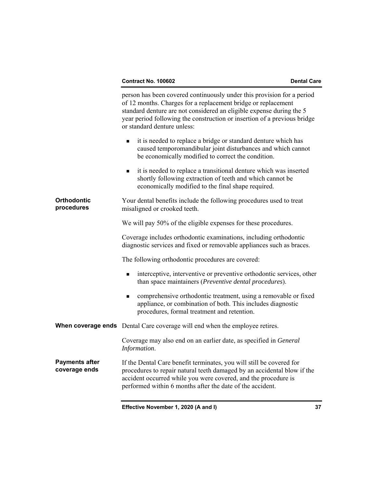|                                        | person has been covered continuously under this provision for a period<br>of 12 months. Charges for a replacement bridge or replacement<br>standard denture are not considered an eligible expense during the 5<br>year period following the construction or insertion of a previous bridge<br>or standard denture unless: |  |
|----------------------------------------|----------------------------------------------------------------------------------------------------------------------------------------------------------------------------------------------------------------------------------------------------------------------------------------------------------------------------|--|
|                                        | it is needed to replace a bridge or standard denture which has<br>п<br>caused temporomandibular joint disturbances and which cannot<br>be economically modified to correct the condition.                                                                                                                                  |  |
|                                        | it is needed to replace a transitional denture which was inserted<br>٠<br>shortly following extraction of teeth and which cannot be<br>economically modified to the final shape required.                                                                                                                                  |  |
| <b>Orthodontic</b><br>procedures       | Your dental benefits include the following procedures used to treat<br>misaligned or crooked teeth.                                                                                                                                                                                                                        |  |
|                                        | We will pay 50% of the eligible expenses for these procedures.                                                                                                                                                                                                                                                             |  |
|                                        | Coverage includes orthodontic examinations, including orthodontic<br>diagnostic services and fixed or removable appliances such as braces.                                                                                                                                                                                 |  |
|                                        | The following orthodontic procedures are covered:                                                                                                                                                                                                                                                                          |  |
|                                        | interceptive, interventive or preventive orthodontic services, other<br>than space maintainers (Preventive dental procedures).                                                                                                                                                                                             |  |
|                                        | comprehensive orthodontic treatment, using a removable or fixed<br>٠<br>appliance, or combination of both. This includes diagnostic<br>procedures, formal treatment and retention.                                                                                                                                         |  |
|                                        | <b>When coverage ends</b> Dental Care coverage will end when the employee retires.                                                                                                                                                                                                                                         |  |
|                                        | Coverage may also end on an earlier date, as specified in General<br>Information.                                                                                                                                                                                                                                          |  |
| <b>Payments after</b><br>coverage ends | If the Dental Care benefit terminates, you will still be covered for<br>procedures to repair natural teeth damaged by an accidental blow if the<br>accident occurred while you were covered, and the procedure is<br>performed within 6 months after the date of the accident.                                             |  |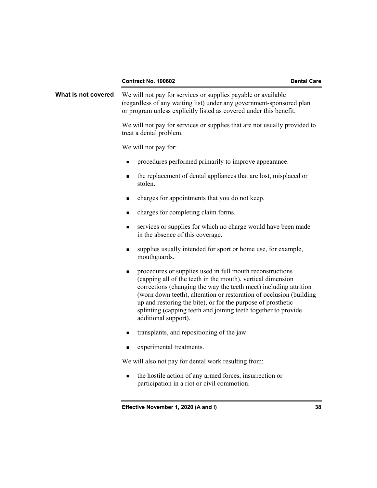| Contract No. 100602 |  |
|---------------------|--|
|---------------------|--|

**What is not covered** We will not pay for services or supplies payable or available (regardless of any waiting list) under any government-sponsored plan or program unless explicitly listed as covered under this benefit. We will not pay for services or supplies that are not usually provided to treat a dental problem. We will not pay for: **PEDECISE:** procedures performed primarily to improve appearance. the replacement of dental appliances that are lost, misplaced or stolen. charges for appointments that you do not keep. charges for completing claim forms. services or supplies for which no charge would have been made in the absence of this coverage. supplies usually intended for sport or home use, for example, mouthguards. **n** procedures or supplies used in full mouth reconstructions (capping all of the teeth in the mouth), vertical dimension corrections (changing the way the teeth meet) including attrition (worn down teeth), alteration or restoration of occlusion (building up and restoring the bite), or for the purpose of prosthetic splinting (capping teeth and joining teeth together to provide additional support). transplants, and repositioning of the jaw. experimental treatments. We will also not pay for dental work resulting from: • the hostile action of any armed forces, insurrection or

**Effective November 1, 2020 (A and I) 38** 

participation in a riot or civil commotion.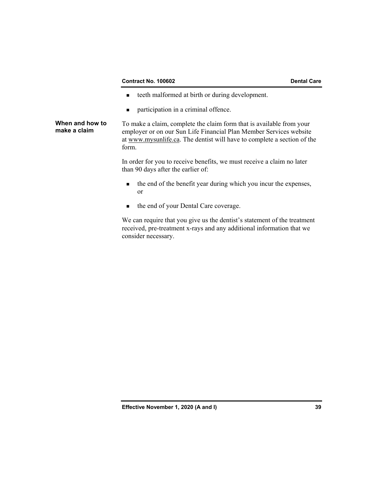### **Contract No. 100602** Dental Care

- teeth malformed at birth or during development.
- **n** participation in a criminal offence.

**When and how to make a claim**  To make a claim, complete the claim form that is available from your employer or on our Sun Life Financial Plan Member Services website at www.mysunlife.ca. The dentist will have to complete a section of the form.

> In order for you to receive benefits, we must receive a claim no later than 90 days after the earlier of:

- the end of the benefit year during which you incur the expenses, or
- $\blacksquare$  the end of your Dental Care coverage.

 We can require that you give us the dentist's statement of the treatment received, pre-treatment x-rays and any additional information that we consider necessary.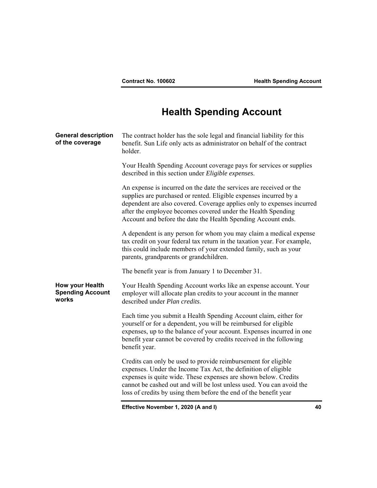# **Health Spending Account**

| <b>General description</b><br>of the coverage       | The contract holder has the sole legal and financial liability for this<br>benefit. Sun Life only acts as administrator on behalf of the contract<br>holder.                                                                                                                                                                                        |
|-----------------------------------------------------|-----------------------------------------------------------------------------------------------------------------------------------------------------------------------------------------------------------------------------------------------------------------------------------------------------------------------------------------------------|
|                                                     | Your Health Spending Account coverage pays for services or supplies<br>described in this section under Eligible expenses.                                                                                                                                                                                                                           |
|                                                     | An expense is incurred on the date the services are received or the<br>supplies are purchased or rented. Eligible expenses incurred by a<br>dependent are also covered. Coverage applies only to expenses incurred<br>after the employee becomes covered under the Health Spending<br>Account and before the date the Health Spending Account ends. |
|                                                     | A dependent is any person for whom you may claim a medical expense<br>tax credit on your federal tax return in the taxation year. For example,<br>this could include members of your extended family, such as your<br>parents, grandparents or grandchildren.                                                                                       |
|                                                     | The benefit year is from January 1 to December 31.                                                                                                                                                                                                                                                                                                  |
| How your Health<br><b>Spending Account</b><br>works | Your Health Spending Account works like an expense account. Your<br>employer will allocate plan credits to your account in the manner<br>described under Plan credits.                                                                                                                                                                              |
|                                                     | Each time you submit a Health Spending Account claim, either for<br>yourself or for a dependent, you will be reimbursed for eligible<br>expenses, up to the balance of your account. Expenses incurred in one<br>benefit year cannot be covered by credits received in the following<br>benefit year.                                               |
|                                                     | Credits can only be used to provide reimbursement for eligible<br>expenses. Under the Income Tax Act, the definition of eligible<br>expenses is quite wide. These expenses are shown below. Credits<br>cannot be cashed out and will be lost unless used. You can avoid the<br>loss of credits by using them before the end of the benefit year     |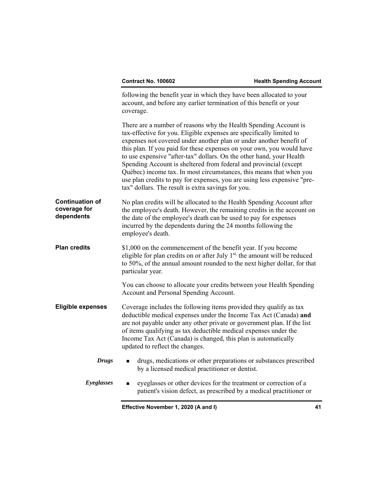|                                                      | following the benefit year in which they have been allocated to your<br>account, and before any earlier termination of this benefit or your<br>coverage.                                                                                                                                                                                                                                                                                                                                                                                                                                                                                       |  |
|------------------------------------------------------|------------------------------------------------------------------------------------------------------------------------------------------------------------------------------------------------------------------------------------------------------------------------------------------------------------------------------------------------------------------------------------------------------------------------------------------------------------------------------------------------------------------------------------------------------------------------------------------------------------------------------------------------|--|
|                                                      | There are a number of reasons why the Health Spending Account is<br>tax-effective for you. Eligible expenses are specifically limited to<br>expenses not covered under another plan or under another benefit of<br>this plan. If you paid for these expenses on your own, you would have<br>to use expensive "after-tax" dollars. On the other hand, your Health<br>Spending Account is sheltered from federal and provincial (except<br>Québec) income tax. In most circumstances, this means that when you<br>use plan credits to pay for expenses, you are using less expensive "pre-<br>tax" dollars. The result is extra savings for you. |  |
| <b>Continuation of</b><br>coverage for<br>dependents | No plan credits will be allocated to the Health Spending Account after<br>the employee's death. However, the remaining credits in the account on<br>the date of the employee's death can be used to pay for expenses<br>incurred by the dependents during the 24 months following the<br>employee's death.                                                                                                                                                                                                                                                                                                                                     |  |
| <b>Plan credits</b>                                  | \$1,000 on the commencement of the benefit year. If you become<br>eligible for plan credits on or after July 1 <sup>st,</sup> the amount will be reduced<br>to 50%, of the annual amount rounded to the next higher dollar, for that<br>particular year.                                                                                                                                                                                                                                                                                                                                                                                       |  |
|                                                      | You can choose to allocate your credits between your Health Spending<br>Account and Personal Spending Account.                                                                                                                                                                                                                                                                                                                                                                                                                                                                                                                                 |  |
| <b>Eligible expenses</b>                             | Coverage includes the following items provided they qualify as tax<br>deductible medical expenses under the Income Tax Act (Canada) and<br>are not payable under any other private or government plan. If the list<br>of items qualifying as tax deductible medical expenses under the<br>Income Tax Act (Canada) is changed, this plan is automatically<br>updated to reflect the changes.                                                                                                                                                                                                                                                    |  |
| <b>Drugs</b>                                         | drugs, medications or other preparations or substances prescribed<br>п<br>by a licensed medical practitioner or dentist.                                                                                                                                                                                                                                                                                                                                                                                                                                                                                                                       |  |
| Eyeglasses                                           | eyeglasses or other devices for the treatment or correction of a<br>٠<br>patient's vision defect, as prescribed by a medical practitioner or                                                                                                                                                                                                                                                                                                                                                                                                                                                                                                   |  |
|                                                      |                                                                                                                                                                                                                                                                                                                                                                                                                                                                                                                                                                                                                                                |  |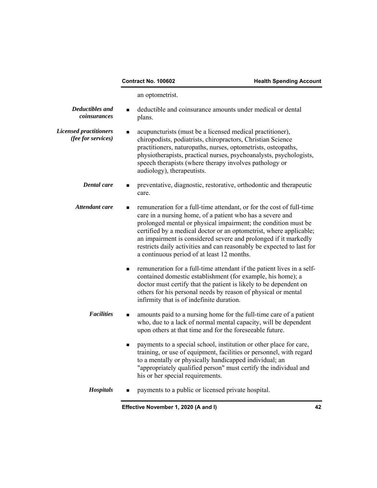an optometrist.

| <b>Deductibles</b> and<br>coinsurances              | deductible and coinsurance amounts under medical or dental<br>plans.                                                                                                                                                                                                                                                                                                                                                                                                |
|-----------------------------------------------------|---------------------------------------------------------------------------------------------------------------------------------------------------------------------------------------------------------------------------------------------------------------------------------------------------------------------------------------------------------------------------------------------------------------------------------------------------------------------|
| <b>Licensed practitioners</b><br>(fee for services) | acupuncturists (must be a licensed medical practitioner),<br>$\blacksquare$<br>chiropodists, podiatrists, chiropractors, Christian Science<br>practitioners, naturopaths, nurses, optometrists, osteopaths,<br>physiotherapists, practical nurses, psychoanalysts, psychologists,<br>speech therapists (where therapy involves pathology or<br>audiology), therapeutists.                                                                                           |
| <b>Dental</b> care                                  | preventative, diagnostic, restorative, orthodontic and therapeutic<br>care.                                                                                                                                                                                                                                                                                                                                                                                         |
| Attendant care                                      | remuneration for a full-time attendant, or for the cost of full-time<br>care in a nursing home, of a patient who has a severe and<br>prolonged mental or physical impairment; the condition must be<br>certified by a medical doctor or an optometrist, where applicable;<br>an impairment is considered severe and prolonged if it markedly<br>restricts daily activities and can reasonably be expected to last for<br>a continuous period of at least 12 months. |
|                                                     | remuneration for a full-time attendant if the patient lives in a self-<br>п<br>contained domestic establishment (for example, his home); a<br>doctor must certify that the patient is likely to be dependent on<br>others for his personal needs by reason of physical or mental<br>infirmity that is of indefinite duration.                                                                                                                                       |
| <b>Facilities</b>                                   | amounts paid to a nursing home for the full-time care of a patient<br>■<br>who, due to a lack of normal mental capacity, will be dependent<br>upon others at that time and for the foreseeable future.                                                                                                                                                                                                                                                              |
|                                                     | payments to a special school, institution or other place for care,<br>$\blacksquare$<br>training, or use of equipment, facilities or personnel, with regard<br>to a mentally or physically handicapped individual; an<br>"appropriately qualified person" must certify the individual and<br>his or her special requirements.                                                                                                                                       |
| <b>Hospitals</b>                                    | payments to a public or licensed private hospital.                                                                                                                                                                                                                                                                                                                                                                                                                  |
|                                                     | Effective November 1, 2020 (A and I)<br>42                                                                                                                                                                                                                                                                                                                                                                                                                          |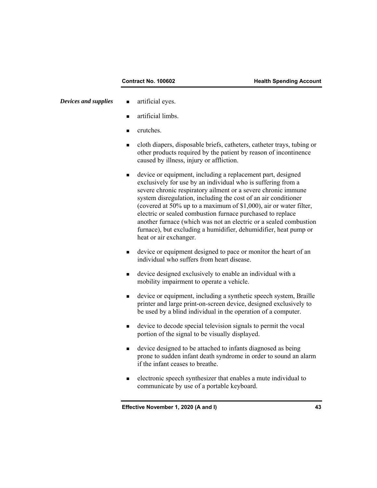- *Devices and supplies* **a** artificial eyes.
	- **artificial limbs.**
	- crutches.
	- cloth diapers, disposable briefs, catheters, catheter trays, tubing or other products required by the patient by reason of incontinence caused by illness, injury or affliction.
	- device or equipment, including a replacement part, designed exclusively for use by an individual who is suffering from a severe chronic respiratory ailment or a severe chronic immune system disregulation, including the cost of an air conditioner (covered at 50% up to a maximum of \$1,000), air or water filter, electric or sealed combustion furnace purchased to replace another furnace (which was not an electric or a sealed combustion furnace), but excluding a humidifier, dehumidifier, heat pump or heat or air exchanger.
	- device or equipment designed to pace or monitor the heart of an individual who suffers from heart disease.
	- device designed exclusively to enable an individual with a mobility impairment to operate a vehicle.
	- device or equipment, including a synthetic speech system, Braille printer and large print-on-screen device, designed exclusively to be used by a blind individual in the operation of a computer.
	- device to decode special television signals to permit the vocal portion of the signal to be visually displayed.
	- device designed to be attached to infants diagnosed as being prone to sudden infant death syndrome in order to sound an alarm if the infant ceases to breathe.
	- electronic speech synthesizer that enables a mute individual to communicate by use of a portable keyboard.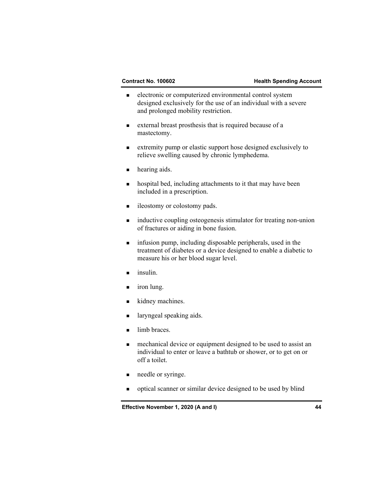- electronic or computerized environmental control system designed exclusively for the use of an individual with a severe and prolonged mobility restriction.
- external breast prosthesis that is required because of a mastectomy.
- extremity pump or elastic support hose designed exclusively to relieve swelling caused by chronic lymphedema.
- **hearing aids.**
- **hospital bed, including attachments to it that may have been** included in a prescription.
- **ileostomy or colostomy pads.**
- **ightharror inductive coupling osteogenesis stimulator for treating non-union** of fractures or aiding in bone fusion.
- **n** infusion pump, including disposable peripherals, used in the treatment of diabetes or a device designed to enable a diabetic to measure his or her blood sugar level.
- $\blacksquare$  insulin.
- **i** iron lung.
- kidney machines.
- **a** laryngeal speaking aids.
- limb braces.
- **n** mechanical device or equipment designed to be used to assist an individual to enter or leave a bathtub or shower, or to get on or off a toilet.
- needle or syringe.
- optical scanner or similar device designed to be used by blind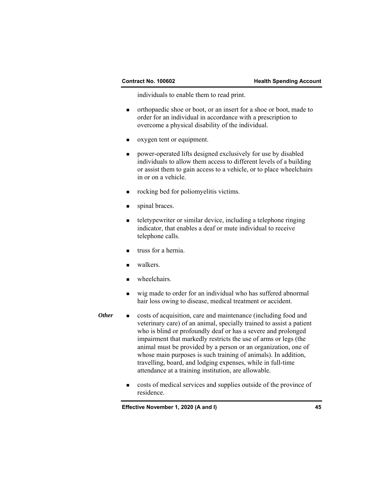individuals to enable them to read print.

- orthopaedic shoe or boot, or an insert for a shoe or boot, made to order for an individual in accordance with a prescription to overcome a physical disability of the individual.
- oxygen tent or equipment.
- power-operated lifts designed exclusively for use by disabled individuals to allow them access to different levels of a building or assist them to gain access to a vehicle, or to place wheelchairs in or on a vehicle.
- rocking bed for poliomyelitis victims.
- spinal braces.
- teletypewriter or similar device, including a telephone ringing indicator, that enables a deaf or mute individual to receive telephone calls.
- truss for a hernia.
- walkers.
- wheelchairs.
- wig made to order for an individual who has suffered abnormal hair loss owing to disease, medical treatment or accident.
- *Other* **Exercise e** costs of acquisition, care and maintenance (including food and veterinary care) of an animal, specially trained to assist a patient who is blind or profoundly deaf or has a severe and prolonged impairment that markedly restricts the use of arms or legs (the animal must be provided by a person or an organization, one of whose main purposes is such training of animals). In addition, travelling, board, and lodging expenses, while in full-time attendance at a training institution, are allowable.
	- costs of medical services and supplies outside of the province of residence.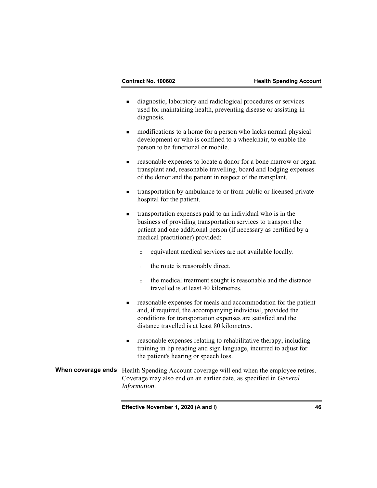- diagnostic, laboratory and radiological procedures or services used for maintaining health, preventing disease or assisting in diagnosis.
- modifications to a home for a person who lacks normal physical development or who is confined to a wheelchair, to enable the person to be functional or mobile.
- reasonable expenses to locate a donor for a bone marrow or organ transplant and, reasonable travelling, board and lodging expenses of the donor and the patient in respect of the transplant.
- transportation by ambulance to or from public or licensed private hospital for the patient.
- transportation expenses paid to an individual who is in the business of providing transportation services to transport the patient and one additional person (if necessary as certified by a medical practitioner) provided:
	- $\Box$  equivalent medical services are not available locally.
	- $\Box$  the route is reasonably direct.
	- $\Box$  the medical treatment sought is reasonable and the distance travelled is at least 40 kilometres.
- reasonable expenses for meals and accommodation for the patient and, if required, the accompanying individual, provided the conditions for transportation expenses are satisfied and the distance travelled is at least 80 kilometres.
- reasonable expenses relating to rehabilitative therapy, including training in lip reading and sign language, incurred to adjust for the patient's hearing or speech loss.
- **When coverage ends** Health Spending Account coverage will end when the employee retires. Coverage may also end on an earlier date, as specified in *General Information*.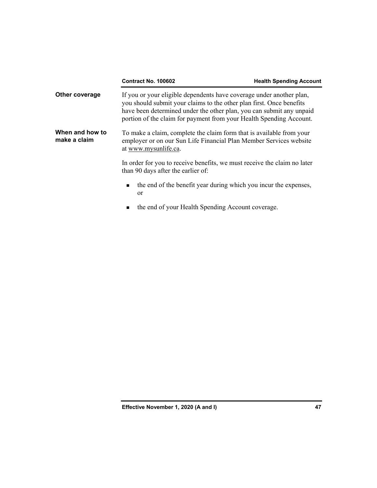|                                 | <b>Contract No. 100602</b>                                                                                                                                                                                                                                                                  | <b>Health Spending Account</b> |
|---------------------------------|---------------------------------------------------------------------------------------------------------------------------------------------------------------------------------------------------------------------------------------------------------------------------------------------|--------------------------------|
| Other coverage                  | If you or your eligible dependents have coverage under another plan,<br>you should submit your claims to the other plan first. Once benefits<br>have been determined under the other plan, you can submit any unpaid<br>portion of the claim for payment from your Health Spending Account. |                                |
| When and how to<br>make a claim | To make a claim, complete the claim form that is available from your<br>employer or on our Sun Life Financial Plan Member Services website<br>at www.mysunlife.ca.                                                                                                                          |                                |
|                                 | In order for you to receive benefits, we must receive the claim no later<br>than 90 days after the earlier of:                                                                                                                                                                              |                                |
|                                 | the end of the benefit year during which you incur the expenses,<br>$\blacksquare$<br><sub>or</sub>                                                                                                                                                                                         |                                |
|                                 | the end of your Health Spending Account coverage.<br>٠                                                                                                                                                                                                                                      |                                |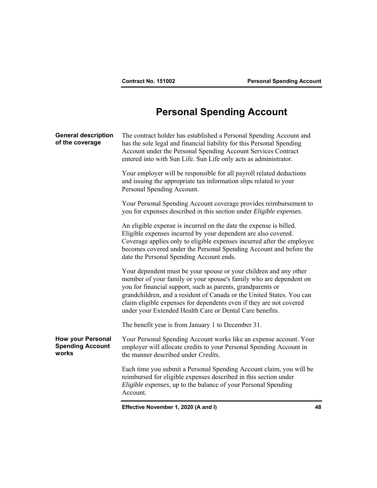# **Personal Spending Account**

| <b>General description</b><br>of the coverage                | The contract holder has established a Personal Spending Account and<br>has the sole legal and financial liability for this Personal Spending<br>Account under the Personal Spending Account Services Contract<br>entered into with Sun Life. Sun Life only acts as administrator.                                                                                                                                  |  |
|--------------------------------------------------------------|--------------------------------------------------------------------------------------------------------------------------------------------------------------------------------------------------------------------------------------------------------------------------------------------------------------------------------------------------------------------------------------------------------------------|--|
|                                                              | Your employer will be responsible for all payroll related deductions<br>and issuing the appropriate tax information slips related to your<br>Personal Spending Account.                                                                                                                                                                                                                                            |  |
|                                                              | Your Personal Spending Account coverage provides reimbursement to<br>you for expenses described in this section under Eligible expenses.                                                                                                                                                                                                                                                                           |  |
|                                                              | An eligible expense is incurred on the date the expense is billed.<br>Eligible expenses incurred by your dependent are also covered.<br>Coverage applies only to eligible expenses incurred after the employee<br>becomes covered under the Personal Spending Account and before the<br>date the Personal Spending Account ends.                                                                                   |  |
|                                                              | Your dependent must be your spouse or your children and any other<br>member of your family or your spouse's family who are dependent on<br>you for financial support, such as parents, grandparents or<br>grandchildren, and a resident of Canada or the United States. You can<br>claim eligible expenses for dependents even if they are not covered<br>under your Extended Health Care or Dental Care benefits. |  |
|                                                              | The benefit year is from January 1 to December 31.                                                                                                                                                                                                                                                                                                                                                                 |  |
| <b>How your Personal</b><br><b>Spending Account</b><br>works | Your Personal Spending Account works like an expense account. Your<br>employer will allocate credits to your Personal Spending Account in<br>the manner described under Credits.                                                                                                                                                                                                                                   |  |
|                                                              | Each time you submit a Personal Spending Account claim, you will be<br>reimbursed for eligible expenses described in this section under<br>Eligible expenses, up to the balance of your Personal Spending<br>Account.                                                                                                                                                                                              |  |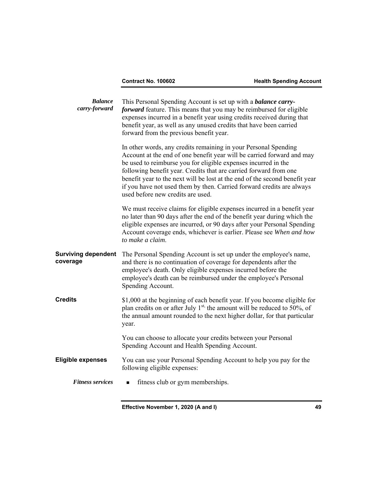| <b>Balance</b><br>carry-forward        | This Personal Spending Account is set up with a <b>balance carry-</b><br>forward feature. This means that you may be reimbursed for eligible<br>expenses incurred in a benefit year using credits received during that<br>benefit year, as well as any unused credits that have been carried<br>forward from the previous benefit year.                                                                                                                                       |
|----------------------------------------|-------------------------------------------------------------------------------------------------------------------------------------------------------------------------------------------------------------------------------------------------------------------------------------------------------------------------------------------------------------------------------------------------------------------------------------------------------------------------------|
|                                        | In other words, any credits remaining in your Personal Spending<br>Account at the end of one benefit year will be carried forward and may<br>be used to reimburse you for eligible expenses incurred in the<br>following benefit year. Credits that are carried forward from one<br>benefit year to the next will be lost at the end of the second benefit year<br>if you have not used them by then. Carried forward credits are always<br>used before new credits are used. |
|                                        | We must receive claims for eligible expenses incurred in a benefit year<br>no later than 90 days after the end of the benefit year during which the<br>eligible expenses are incurred, or 90 days after your Personal Spending<br>Account coverage ends, whichever is earlier. Please see When and how<br>to make a claim.                                                                                                                                                    |
| <b>Surviving dependent</b><br>coverage | The Personal Spending Account is set up under the employee's name,<br>and there is no continuation of coverage for dependents after the<br>employee's death. Only eligible expenses incurred before the<br>employee's death can be reimbursed under the employee's Personal<br>Spending Account.                                                                                                                                                                              |
| <b>Credits</b>                         | \$1,000 at the beginning of each benefit year. If you become eligible for<br>plan credits on or after July $1^{st}$ , the amount will be reduced to 50%, of<br>the annual amount rounded to the next higher dollar, for that particular<br>year.                                                                                                                                                                                                                              |
|                                        | You can choose to allocate your credits between your Personal<br>Spending Account and Health Spending Account.                                                                                                                                                                                                                                                                                                                                                                |
| <b>Eligible expenses</b>               | You can use your Personal Spending Account to help you pay for the<br>following eligible expenses:                                                                                                                                                                                                                                                                                                                                                                            |
| <b>Fitness services</b>                | fitness club or gym memberships.                                                                                                                                                                                                                                                                                                                                                                                                                                              |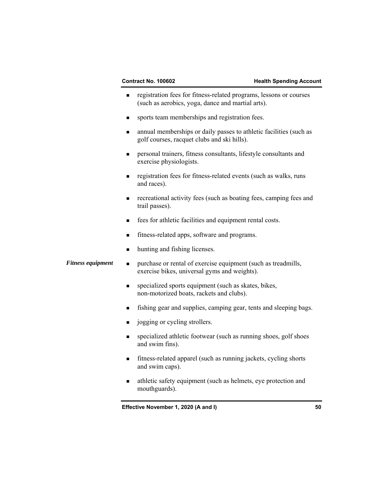- registration fees for fitness-related programs, lessons or courses (such as aerobics, yoga, dance and martial arts).
- sports team memberships and registration fees.
- annual memberships or daily passes to athletic facilities (such as golf courses, racquet clubs and ski hills).
- personal trainers, fitness consultants, lifestyle consultants and exercise physiologists.
- registration fees for fitness-related events (such as walks, runs and races).
- **recreational activity fees (such as boating fees, camping fees and** trail passes).
- **fees for athletic facilities and equipment rental costs.**
- fitness-related apps, software and programs.
- hunting and fishing licenses.
- *Fitness equipment*  $\bullet$  purchase or rental of exercise equipment (such as treadmills, exercise bikes, universal gyms and weights).
	- **specialized sports equipment (such as skates, bikes,** non-motorized boats, rackets and clubs).
	- fishing gear and supplies, camping gear, tents and sleeping bags.
	- gives in particular or cycling strollers.
	- specialized athletic footwear (such as running shoes, golf shoes and swim fins).
	- fitness-related apparel (such as running jackets, cycling shorts and swim caps).
	- athletic safety equipment (such as helmets, eye protection and mouthguards).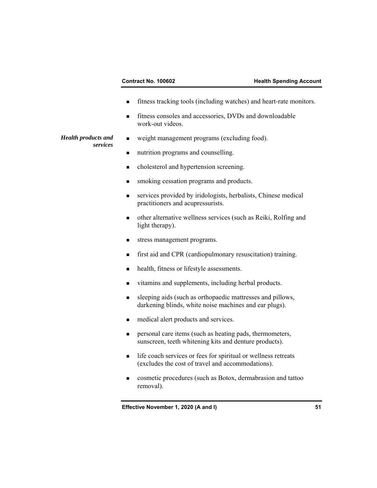### **Contract No. 100602 Health Spending Account**

- fitness tracking tools (including watches) and heart-rate monitors.
- fitness consoles and accessories, DVDs and downloadable work-out videos.
- weight management programs (excluding food).

### *Health products and services*

- nutrition programs and counselling.
- $\blacksquare$  cholesterol and hypertension screening.
- **smoking cessation programs and products.**
- services provided by iridologists, herbalists, Chinese medical practitioners and acupressurists.
- other alternative wellness services (such as Reiki, Rolfing and light therapy).
- stress management programs.
- first aid and CPR (cardiopulmonary resuscitation) training.
- health, fitness or lifestyle assessments.
- vitamins and supplements, including herbal products.
- sleeping aids (such as orthopaedic mattresses and pillows, darkening blinds, white noise machines and ear plugs).
- medical alert products and services.
- **Personal care items (such as heating pads, thermometers,** sunscreen, teeth whitening kits and denture products).
- life coach services or fees for spiritual or wellness retreats (excludes the cost of travel and accommodations).
- cosmetic procedures (such as Botox, dermabrasion and tattoo removal).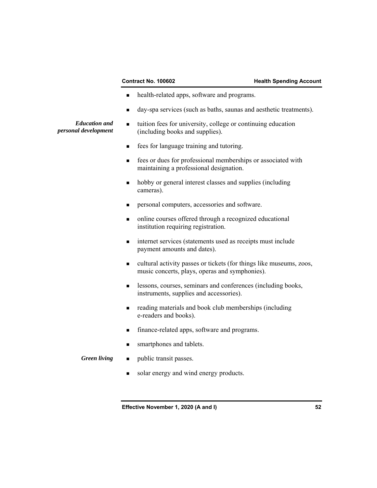*Education and personal development* 

### **Contract No. 100602 Health Spending Account**

- **health-related apps, software and programs.**
- day-spa services (such as baths, saunas and aesthetic treatments).
- tuition fees for university, college or continuing education (including books and supplies).
	- **Figure 1.5** fees for language training and tutoring.
	- **fees or dues for professional memberships or associated with** maintaining a professional designation.
	- hobby or general interest classes and supplies (including cameras).
	- **Personal computers, accessories and software.**
	- online courses offered through a recognized educational institution requiring registration.
	- internet services (statements used as receipts must include payment amounts and dates).
	- cultural activity passes or tickets (for things like museums, zoos, music concerts, plays, operas and symphonies).
	- **EXECUTE:** lessons, courses, seminars and conferences (including books, instruments, supplies and accessories).
	- **Fig. 2.5** reading materials and book club memberships (including e-readers and books).
	- finance-related apps, software and programs.
	- smartphones and tablets.
- *Green living* **n** public transit passes.
	- solar energy and wind energy products.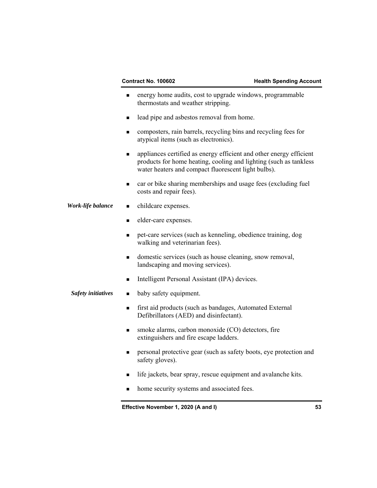- energy home audits, cost to upgrade windows, programmable thermostats and weather stripping.
- lead pipe and asbestos removal from home.
- composters, rain barrels, recycling bins and recycling fees for atypical items (such as electronics).
- **a** appliances certified as energy efficient and other energy efficient products for home heating, cooling and lighting (such as tankless water heaters and compact fluorescent light bulbs).
- car or bike sharing memberships and usage fees (excluding fuel costs and repair fees).
- *Work-life balance* childcare expenses.
	- elder-care expenses.
	- pet-care services (such as kenneling, obedience training, dog walking and veterinarian fees).
	- domestic services (such as house cleaning, snow removal, landscaping and moving services).
	- Intelligent Personal Assistant (IPA) devices.
	- *Safety initiatives*  baby safety equipment.
		- first aid products (such as bandages, Automated External Defibrillators (AED) and disinfectant).
		- smoke alarms, carbon monoxide (CO) detectors, fire extinguishers and fire escape ladders.
		- **Personal protective gear (such as safety boots, eye protection and** safety gloves).
		- life jackets, bear spray, rescue equipment and avalanche kits.
		- home security systems and associated fees.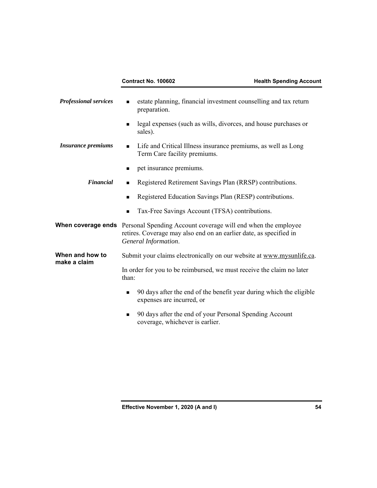| <b>Professional services</b>    | estate planning, financial investment counselling and tax return<br>preparation.                                                                                                      |
|---------------------------------|---------------------------------------------------------------------------------------------------------------------------------------------------------------------------------------|
|                                 | legal expenses (such as wills, divorces, and house purchases or<br>■<br>sales).                                                                                                       |
| <b>Insurance premiums</b>       | Life and Critical Illness insurance premiums, as well as Long<br>$\blacksquare$<br>Term Care facility premiums.                                                                       |
|                                 | pet insurance premiums.<br>■                                                                                                                                                          |
| <b>Financial</b>                | Registered Retirement Savings Plan (RRSP) contributions.<br>٠                                                                                                                         |
|                                 | Registered Education Savings Plan (RESP) contributions.<br>$\blacksquare$                                                                                                             |
|                                 | Tax-Free Savings Account (TFSA) contributions.<br>■                                                                                                                                   |
|                                 | <b>When coverage ends</b> Personal Spending Account coverage will end when the employee<br>retires. Coverage may also end on an earlier date, as specified in<br>General Information. |
| When and how to<br>make a claim | Submit your claims electronically on our website at www.mysunlife.ca.                                                                                                                 |
|                                 | In order for you to be reimbursed, we must receive the claim no later<br>than:                                                                                                        |
|                                 | 90 days after the end of the benefit year during which the eligible<br>$\blacksquare$<br>expenses are incurred, or                                                                    |
|                                 | 90 days after the end of your Personal Spending Account<br>$\blacksquare$<br>coverage, whichever is earlier.                                                                          |
|                                 |                                                                                                                                                                                       |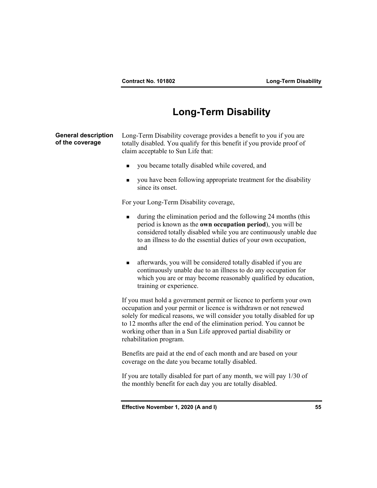## **Long-Term Disability**

**General description of the coverage**  Long-Term Disability coverage provides a benefit to you if you are totally disabled. You qualify for this benefit if you provide proof of claim acceptable to Sun Life that: you became totally disabled while covered, and **v** you have been following appropriate treatment for the disability since its onset. For your Long-Term Disability coverage, during the elimination period and the following 24 months (this period is known as the **own occupation period**), you will be considered totally disabled while you are continuously unable due to an illness to do the essential duties of your own occupation, and afterwards, you will be considered totally disabled if you are continuously unable due to an illness to do any occupation for which you are or may become reasonably qualified by education, training or experience. If you must hold a government permit or licence to perform your own occupation and your permit or licence is withdrawn or not renewed solely for medical reasons, we will consider you totally disabled for up to 12 months after the end of the elimination period. You cannot be working other than in a Sun Life approved partial disability or rehabilitation program. Benefits are paid at the end of each month and are based on your coverage on the date you became totally disabled.

> If you are totally disabled for part of any month, we will pay 1/30 of the monthly benefit for each day you are totally disabled.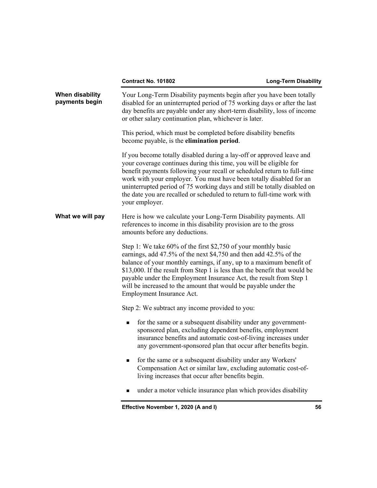|                                   | <b>Contract No. 101802</b>                                                                                                                                                                                                                                                                                                                                                                                                                                             | <b>Long-Term Disability</b> |
|-----------------------------------|------------------------------------------------------------------------------------------------------------------------------------------------------------------------------------------------------------------------------------------------------------------------------------------------------------------------------------------------------------------------------------------------------------------------------------------------------------------------|-----------------------------|
| When disability<br>payments begin | Your Long-Term Disability payments begin after you have been totally<br>disabled for an uninterrupted period of 75 working days or after the last<br>day benefits are payable under any short-term disability, loss of income<br>or other salary continuation plan, whichever is later.                                                                                                                                                                                |                             |
|                                   | This period, which must be completed before disability benefits<br>become payable, is the elimination period.                                                                                                                                                                                                                                                                                                                                                          |                             |
|                                   | If you become totally disabled during a lay-off or approved leave and<br>your coverage continues during this time, you will be eligible for<br>benefit payments following your recall or scheduled return to full-time<br>work with your employer. You must have been totally disabled for an<br>uninterrupted period of 75 working days and still be totally disabled on<br>the date you are recalled or scheduled to return to full-time work with<br>your employer. |                             |
| What we will pay                  | Here is how we calculate your Long-Term Disability payments. All<br>references to income in this disability provision are to the gross<br>amounts before any deductions.                                                                                                                                                                                                                                                                                               |                             |
|                                   | Step 1: We take 60% of the first \$2,750 of your monthly basic<br>earnings, add 47.5% of the next \$4,750 and then add 42.5% of the<br>balance of your monthly earnings, if any, up to a maximum benefit of<br>\$13,000. If the result from Step 1 is less than the benefit that would be<br>payable under the Employment Insurance Act, the result from Step 1<br>will be increased to the amount that would be payable under the<br>Employment Insurance Act.        |                             |
|                                   | Step 2: We subtract any income provided to you:                                                                                                                                                                                                                                                                                                                                                                                                                        |                             |
|                                   | for the same or a subsequent disability under any government-<br>$\blacksquare$<br>sponsored plan, excluding dependent benefits, employment<br>insurance benefits and automatic cost-of-living increases under<br>any government-sponsored plan that occur after benefits begin.                                                                                                                                                                                       |                             |
|                                   | for the same or a subsequent disability under any Workers'<br>■<br>Compensation Act or similar law, excluding automatic cost-of-<br>living increases that occur after benefits begin.                                                                                                                                                                                                                                                                                  |                             |
|                                   | under a motor vehicle insurance plan which provides disability                                                                                                                                                                                                                                                                                                                                                                                                         |                             |
|                                   | Effective November 1, 2020 (A and I)                                                                                                                                                                                                                                                                                                                                                                                                                                   | 56                          |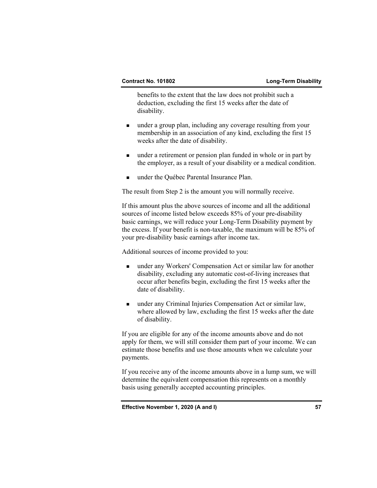benefits to the extent that the law does not prohibit such a deduction, excluding the first 15 weeks after the date of disability.

- under a group plan, including any coverage resulting from your membership in an association of any kind, excluding the first 15 weeks after the date of disability.
- under a retirement or pension plan funded in whole or in part by the employer, as a result of your disability or a medical condition.
- under the Québec Parental Insurance Plan.

The result from Step 2 is the amount you will normally receive.

 If this amount plus the above sources of income and all the additional sources of income listed below exceeds 85% of your pre-disability basic earnings, we will reduce your Long-Term Disability payment by the excess. If your benefit is non-taxable, the maximum will be 85% of your pre-disability basic earnings after income tax.

Additional sources of income provided to you:

- under any Workers' Compensation Act or similar law for another disability, excluding any automatic cost-of-living increases that occur after benefits begin, excluding the first 15 weeks after the date of disability.
- under any Criminal Injuries Compensation Act or similar law, where allowed by law, excluding the first 15 weeks after the date of disability.

 If you are eligible for any of the income amounts above and do not apply for them, we will still consider them part of your income. We can estimate those benefits and use those amounts when we calculate your payments.

 If you receive any of the income amounts above in a lump sum, we will determine the equivalent compensation this represents on a monthly basis using generally accepted accounting principles.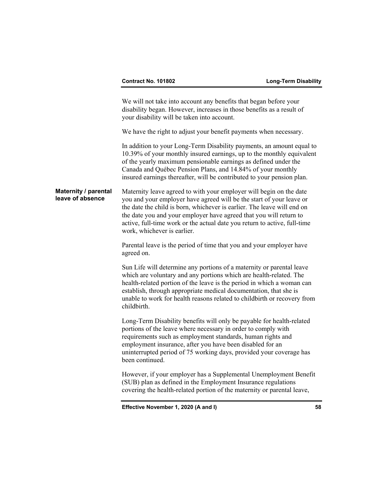We will not take into account any benefits that began before your disability began. However, increases in those benefits as a result of your disability will be taken into account.

We have the right to adjust your benefit payments when necessary.

 In addition to your Long-Term Disability payments, an amount equal to 10.39% of your monthly insured earnings, up to the monthly equivalent of the yearly maximum pensionable earnings as defined under the Canada and Québec Pension Plans, and 14.84% of your monthly insured earnings thereafter, will be contributed to your pension plan.

**Maternity / parental leave of absence**  Maternity leave agreed to with your employer will begin on the date you and your employer have agreed will be the start of your leave or the date the child is born, whichever is earlier. The leave will end on the date you and your employer have agreed that you will return to active, full-time work or the actual date you return to active, full-time work, whichever is earlier.

> Parental leave is the period of time that you and your employer have agreed on.

 Sun Life will determine any portions of a maternity or parental leave which are voluntary and any portions which are health-related. The health-related portion of the leave is the period in which a woman can establish, through appropriate medical documentation, that she is unable to work for health reasons related to childbirth or recovery from childbirth.

 Long-Term Disability benefits will only be payable for health-related portions of the leave where necessary in order to comply with requirements such as employment standards, human rights and employment insurance, after you have been disabled for an uninterrupted period of 75 working days, provided your coverage has been continued.

 However, if your employer has a Supplemental Unemployment Benefit (SUB) plan as defined in the Employment Insurance regulations covering the health-related portion of the maternity or parental leave,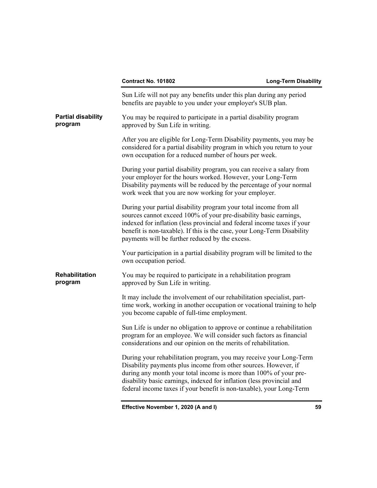|                                      | Contract No. 101802                                                                                                                                                                                                                                                                                                                                         | <b>Long-Term Disability</b> |
|--------------------------------------|-------------------------------------------------------------------------------------------------------------------------------------------------------------------------------------------------------------------------------------------------------------------------------------------------------------------------------------------------------------|-----------------------------|
|                                      | Sun Life will not pay any benefits under this plan during any period<br>benefits are payable to you under your employer's SUB plan.                                                                                                                                                                                                                         |                             |
| <b>Partial disability</b><br>program | You may be required to participate in a partial disability program<br>approved by Sun Life in writing.                                                                                                                                                                                                                                                      |                             |
|                                      | After you are eligible for Long-Term Disability payments, you may be<br>considered for a partial disability program in which you return to your<br>own occupation for a reduced number of hours per week.                                                                                                                                                   |                             |
|                                      | During your partial disability program, you can receive a salary from<br>your employer for the hours worked. However, your Long-Term<br>Disability payments will be reduced by the percentage of your normal<br>work week that you are now working for your employer.                                                                                       |                             |
|                                      | During your partial disability program your total income from all<br>sources cannot exceed 100% of your pre-disability basic earnings,<br>indexed for inflation (less provincial and federal income taxes if your<br>benefit is non-taxable). If this is the case, your Long-Term Disability<br>payments will be further reduced by the excess.             |                             |
|                                      | Your participation in a partial disability program will be limited to the<br>own occupation period.                                                                                                                                                                                                                                                         |                             |
| Rehabilitation<br>program            | You may be required to participate in a rehabilitation program<br>approved by Sun Life in writing.                                                                                                                                                                                                                                                          |                             |
|                                      | It may include the involvement of our rehabilitation specialist, part-<br>time work, working in another occupation or vocational training to help<br>you become capable of full-time employment.                                                                                                                                                            |                             |
|                                      | Sun Life is under no obligation to approve or continue a rehabilitation<br>program for an employee. We will consider such factors as financial<br>considerations and our opinion on the merits of rehabilitation.                                                                                                                                           |                             |
|                                      | During your rehabilitation program, you may receive your Long-Term<br>Disability payments plus income from other sources. However, if<br>during any month your total income is more than 100% of your pre-<br>disability basic earnings, indexed for inflation (less provincial and<br>federal income taxes if your benefit is non-taxable), your Long-Term |                             |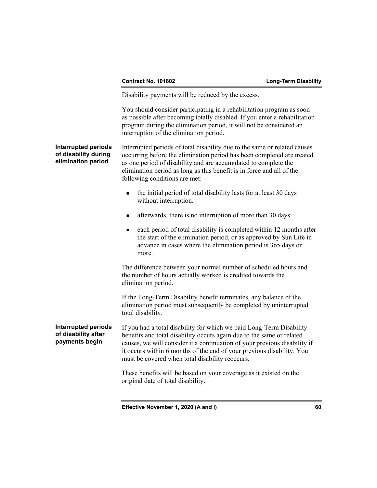Disability payments will be reduced by the excess.

 You should consider participating in a rehabilitation program as soon as possible after becoming totally disabled. If you enter a rehabilitation program during the elimination period, it will not be considered an interruption of the elimination period.

### **Interrupted periods of disability during elimination period**  Interrupted periods of total disability due to the same or related causes occurring before the elimination period has been completed are treated as one period of disability and are accumulated to complete the elimination period as long as this benefit is in force and all of the following conditions are met:

- the initial period of total disability lasts for at least 30 days without interruption.
- **a** afterwards, there is no interruption of more than 30 days.
- each period of total disability is completed within 12 months after the start of the elimination period, or as approved by Sun Life in advance in cases where the elimination period is 365 days or more.

 The difference between your normal number of scheduled hours and the number of hours actually worked is credited towards the elimination period.

 If the Long-Term Disability benefit terminates, any balance of the elimination period must subsequently be completed by uninterrupted total disability.

**Interrupted periods of disability after payments begin**  If you had a total disability for which we paid Long-Term Disability benefits and total disability occurs again due to the same or related causes, we will consider it a continuation of your previous disability if it occurs within 6 months of the end of your previous disability. You must be covered when total disability reoccurs.

> These benefits will be based on your coverage as it existed on the original date of total disability.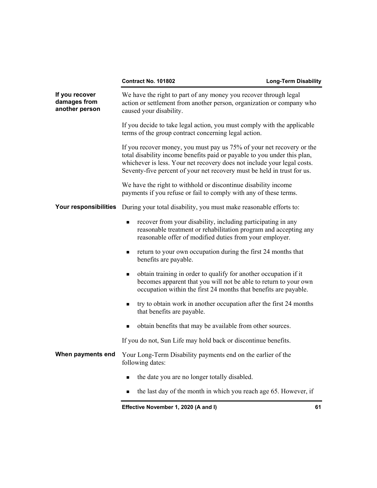## **Contract No. 101802** Long-Term Disability

| If you recover<br>damages from<br>another person | We have the right to part of any money you recover through legal<br>action or settlement from another person, organization or company who<br>caused your disability.                                                                                                                                    |  |
|--------------------------------------------------|---------------------------------------------------------------------------------------------------------------------------------------------------------------------------------------------------------------------------------------------------------------------------------------------------------|--|
|                                                  | If you decide to take legal action, you must comply with the applicable<br>terms of the group contract concerning legal action.                                                                                                                                                                         |  |
|                                                  | If you recover money, you must pay us 75% of your net recovery or the<br>total disability income benefits paid or payable to you under this plan,<br>whichever is less. Your net recovery does not include your legal costs.<br>Seventy-five percent of your net recovery must be held in trust for us. |  |
|                                                  | We have the right to withhold or discontinue disability income<br>payments if you refuse or fail to comply with any of these terms.                                                                                                                                                                     |  |
| Your responsibilities                            | During your total disability, you must make reasonable efforts to:                                                                                                                                                                                                                                      |  |
|                                                  | recover from your disability, including participating in any<br>reasonable treatment or rehabilitation program and accepting any<br>reasonable offer of modified duties from your employer.                                                                                                             |  |
|                                                  | return to your own occupation during the first 24 months that<br>٠<br>benefits are payable.                                                                                                                                                                                                             |  |
|                                                  | obtain training in order to qualify for another occupation if it<br>becomes apparent that you will not be able to return to your own<br>occupation within the first 24 months that benefits are payable.                                                                                                |  |
|                                                  | try to obtain work in another occupation after the first 24 months<br>that benefits are payable.                                                                                                                                                                                                        |  |
|                                                  | obtain benefits that may be available from other sources.                                                                                                                                                                                                                                               |  |
|                                                  | If you do not, Sun Life may hold back or discontinue benefits.                                                                                                                                                                                                                                          |  |
| When payments end                                | Your Long-Term Disability payments end on the earlier of the<br>following dates:                                                                                                                                                                                                                        |  |
|                                                  | the date you are no longer totally disabled.<br>п                                                                                                                                                                                                                                                       |  |
|                                                  | the last day of the month in which you reach age 65. However, if                                                                                                                                                                                                                                        |  |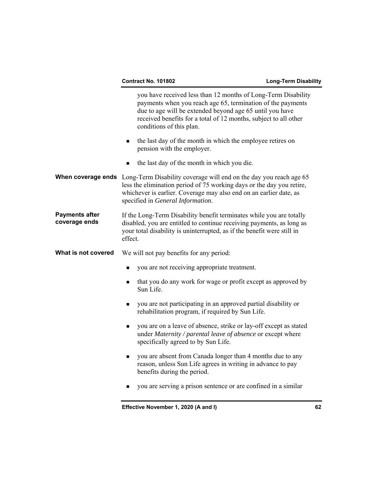|                                        | you are absent from Canada longer than 4 months due to any<br>п<br>reason, unless Sun Life agrees in writing in advance to pay<br>benefits during the period.                                                                                                                            |  |
|----------------------------------------|------------------------------------------------------------------------------------------------------------------------------------------------------------------------------------------------------------------------------------------------------------------------------------------|--|
|                                        |                                                                                                                                                                                                                                                                                          |  |
|                                        | you are on a leave of absence, strike or lay-off except as stated<br>٠<br>under Maternity / parental leave of absence or except where<br>specifically agreed to by Sun Life.                                                                                                             |  |
|                                        | you are not participating in an approved partial disability or<br>٠<br>rehabilitation program, if required by Sun Life.                                                                                                                                                                  |  |
|                                        | that you do any work for wage or profit except as approved by<br>٠<br>Sun Life.                                                                                                                                                                                                          |  |
|                                        | you are not receiving appropriate treatment.<br>٠                                                                                                                                                                                                                                        |  |
| What is not covered                    | We will not pay benefits for any period:                                                                                                                                                                                                                                                 |  |
| <b>Payments after</b><br>coverage ends | If the Long-Term Disability benefit terminates while you are totally<br>disabled, you are entitled to continue receiving payments, as long as<br>your total disability is uninterrupted, as if the benefit were still in<br>effect.                                                      |  |
|                                        | <b>When coverage ends</b> Long-Term Disability coverage will end on the day you reach age 65<br>less the elimination period of 75 working days or the day you retire,<br>whichever is earlier. Coverage may also end on an earlier date, as<br>specified in General Information.         |  |
|                                        | the last day of the month in which you die.                                                                                                                                                                                                                                              |  |
|                                        | the last day of the month in which the employee retires on<br>■<br>pension with the employer.                                                                                                                                                                                            |  |
|                                        | you have received less than 12 months of Long-Term Disability<br>payments when you reach age 65, termination of the payments<br>due to age will be extended beyond age 65 until you have<br>received benefits for a total of 12 months, subject to all other<br>conditions of this plan. |  |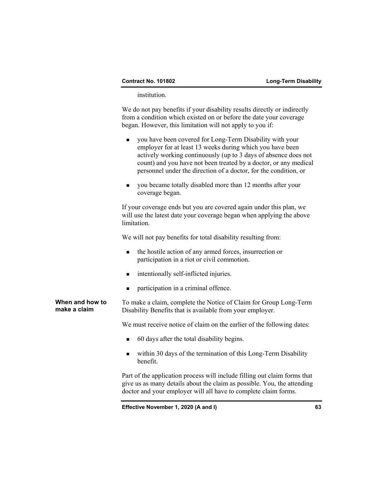institution.

 We do not pay benefits if your disability results directly or indirectly from a condition which existed on or before the date your coverage began. However, this limitation will not apply to you if:

- you have been covered for Long-Term Disability with your employer for at least 13 weeks during which you have been actively working continuously (up to 3 days of absence does not count) and you have not been treated by a doctor, or any medical personnel under the direction of a doctor, for the condition, or
- you became totally disabled more than 12 months after your coverage began.

 If your coverage ends but you are covered again under this plan, we will use the latest date your coverage began when applying the above limitation.

We will not pay benefits for total disability resulting from:

- the hostile action of any armed forces, insurrection or participation in a riot or civil commotion.
- **n** intentionally self-inflicted injuries.
- participation in a criminal offence.

**When and how to make a claim**  To make a claim, complete the Notice of Claim for Group Long-Term Disability Benefits that is available from your employer.

We must receive notice of claim on the earlier of the following dates:

- 60 days after the total disability begins.
- within 30 days of the termination of this Long-Term Disability benefit.

 Part of the application process will include filling out claim forms that give us as many details about the claim as possible. You, the attending doctor and your employer will all have to complete claim forms.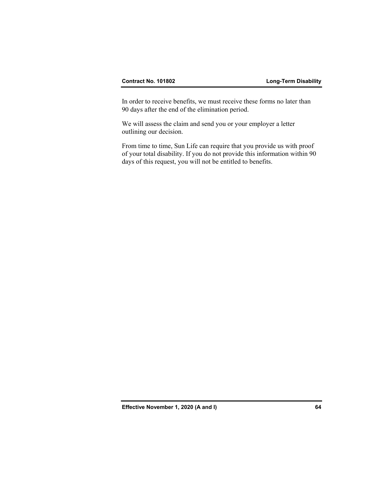In order to receive benefits, we must receive these forms no later than 90 days after the end of the elimination period.

 We will assess the claim and send you or your employer a letter outlining our decision.

 From time to time, Sun Life can require that you provide us with proof of your total disability. If you do not provide this information within 90 days of this request, you will not be entitled to benefits.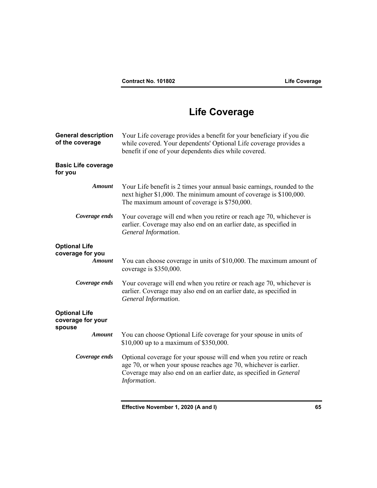# **Life Coverage**

| <b>General description</b><br>of the coverage       | Your Life coverage provides a benefit for your beneficiary if you die<br>while covered. Your dependents' Optional Life coverage provides a<br>benefit if one of your dependents dies while covered.                           |
|-----------------------------------------------------|-------------------------------------------------------------------------------------------------------------------------------------------------------------------------------------------------------------------------------|
| <b>Basic Life coverage</b><br>for you               |                                                                                                                                                                                                                               |
| <b>Amount</b>                                       | Your Life benefit is 2 times your annual basic earnings, rounded to the<br>next higher \$1,000. The minimum amount of coverage is \$100,000.<br>The maximum amount of coverage is \$750,000.                                  |
| Coverage ends                                       | Your coverage will end when you retire or reach age 70, whichever is<br>earlier. Coverage may also end on an earlier date, as specified in<br>General Information.                                                            |
| <b>Optional Life</b>                                |                                                                                                                                                                                                                               |
| coverage for you<br><b>Amount</b>                   | You can choose coverage in units of \$10,000. The maximum amount of<br>coverage is \$350,000.                                                                                                                                 |
| Coverage ends                                       | Your coverage will end when you retire or reach age 70, whichever is<br>earlier. Coverage may also end on an earlier date, as specified in<br>General Information.                                                            |
| <b>Optional Life</b><br>coverage for your<br>spouse |                                                                                                                                                                                                                               |
| <b>Amount</b>                                       | You can choose Optional Life coverage for your spouse in units of<br>\$10,000 up to a maximum of \$350,000.                                                                                                                   |
| Coverage ends                                       | Optional coverage for your spouse will end when you retire or reach<br>age 70, or when your spouse reaches age 70, whichever is earlier.<br>Coverage may also end on an earlier date, as specified in General<br>Information. |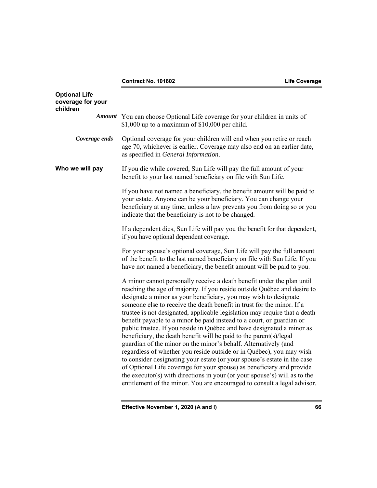**Contract No. 101802 Life Coverage** 

| <b>Optional Life</b><br>coverage for your<br>children |                                                                                                                                                                                                                                                                                                                                                                                                                                                                                                                                                                                                                                                                                                                                                                                                                                                                                                                                                                                                                                                                  |
|-------------------------------------------------------|------------------------------------------------------------------------------------------------------------------------------------------------------------------------------------------------------------------------------------------------------------------------------------------------------------------------------------------------------------------------------------------------------------------------------------------------------------------------------------------------------------------------------------------------------------------------------------------------------------------------------------------------------------------------------------------------------------------------------------------------------------------------------------------------------------------------------------------------------------------------------------------------------------------------------------------------------------------------------------------------------------------------------------------------------------------|
|                                                       | Amount You can choose Optional Life coverage for your children in units of<br>\$1,000 up to a maximum of $$10,000$ per child.                                                                                                                                                                                                                                                                                                                                                                                                                                                                                                                                                                                                                                                                                                                                                                                                                                                                                                                                    |
| Coverage ends                                         | Optional coverage for your children will end when you retire or reach<br>age 70, whichever is earlier. Coverage may also end on an earlier date,<br>as specified in General Information.                                                                                                                                                                                                                                                                                                                                                                                                                                                                                                                                                                                                                                                                                                                                                                                                                                                                         |
| Who we will pay                                       | If you die while covered, Sun Life will pay the full amount of your<br>benefit to your last named beneficiary on file with Sun Life.                                                                                                                                                                                                                                                                                                                                                                                                                                                                                                                                                                                                                                                                                                                                                                                                                                                                                                                             |
|                                                       | If you have not named a beneficiary, the benefit amount will be paid to<br>your estate. Anyone can be your beneficiary. You can change your<br>beneficiary at any time, unless a law prevents you from doing so or you<br>indicate that the beneficiary is not to be changed.                                                                                                                                                                                                                                                                                                                                                                                                                                                                                                                                                                                                                                                                                                                                                                                    |
|                                                       | If a dependent dies, Sun Life will pay you the benefit for that dependent,<br>if you have optional dependent coverage.                                                                                                                                                                                                                                                                                                                                                                                                                                                                                                                                                                                                                                                                                                                                                                                                                                                                                                                                           |
|                                                       | For your spouse's optional coverage, Sun Life will pay the full amount<br>of the benefit to the last named beneficiary on file with Sun Life. If you<br>have not named a beneficiary, the benefit amount will be paid to you.                                                                                                                                                                                                                                                                                                                                                                                                                                                                                                                                                                                                                                                                                                                                                                                                                                    |
|                                                       | A minor cannot personally receive a death benefit under the plan until<br>reaching the age of majority. If you reside outside Québec and desire to<br>designate a minor as your beneficiary, you may wish to designate<br>someone else to receive the death benefit in trust for the minor. If a<br>trustee is not designated, applicable legislation may require that a death<br>benefit payable to a minor be paid instead to a court, or guardian or<br>public trustee. If you reside in Québec and have designated a minor as<br>beneficiary, the death benefit will be paid to the parent(s)/legal<br>guardian of the minor on the minor's behalf. Alternatively (and<br>regardless of whether you reside outside or in Québec), you may wish<br>to consider designating your estate (or your spouse's estate in the case<br>of Optional Life coverage for your spouse) as beneficiary and provide<br>the executor(s) with directions in your (or your spouse's) will as to the<br>entitlement of the minor. You are encouraged to consult a legal advisor. |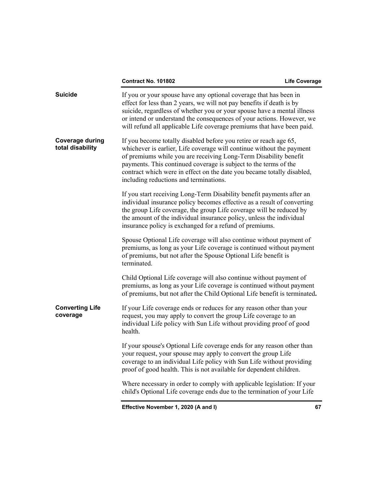## **Contract No. 101802 Life Coverage**

| <b>Suicide</b>                             | If you or your spouse have any optional coverage that has been in<br>effect for less than 2 years, we will not pay benefits if death is by<br>suicide, regardless of whether you or your spouse have a mental illness<br>or intend or understand the consequences of your actions. However, we<br>will refund all applicable Life coverage premiums that have been paid.                               |    |
|--------------------------------------------|--------------------------------------------------------------------------------------------------------------------------------------------------------------------------------------------------------------------------------------------------------------------------------------------------------------------------------------------------------------------------------------------------------|----|
| <b>Coverage during</b><br>total disability | If you become totally disabled before you retire or reach age 65,<br>whichever is earlier, Life coverage will continue without the payment<br>of premiums while you are receiving Long-Term Disability benefit<br>payments. This continued coverage is subject to the terms of the<br>contract which were in effect on the date you became totally disabled,<br>including reductions and terminations. |    |
|                                            | If you start receiving Long-Term Disability benefit payments after an<br>individual insurance policy becomes effective as a result of converting<br>the group Life coverage, the group Life coverage will be reduced by<br>the amount of the individual insurance policy, unless the individual<br>insurance policy is exchanged for a refund of premiums.                                             |    |
|                                            | Spouse Optional Life coverage will also continue without payment of<br>premiums, as long as your Life coverage is continued without payment<br>of premiums, but not after the Spouse Optional Life benefit is<br>terminated.                                                                                                                                                                           |    |
|                                            | Child Optional Life coverage will also continue without payment of<br>premiums, as long as your Life coverage is continued without payment<br>of premiums, but not after the Child Optional Life benefit is terminated.                                                                                                                                                                                |    |
| <b>Converting Life</b><br>coverage         | If your Life coverage ends or reduces for any reason other than your<br>request, you may apply to convert the group Life coverage to an<br>individual Life policy with Sun Life without providing proof of good<br>health.                                                                                                                                                                             |    |
|                                            | If your spouse's Optional Life coverage ends for any reason other than<br>your request, your spouse may apply to convert the group Life<br>coverage to an individual Life policy with Sun Life without providing<br>proof of good health. This is not available for dependent children.                                                                                                                |    |
|                                            | Where necessary in order to comply with applicable legislation: If your<br>child's Optional Life coverage ends due to the termination of your Life                                                                                                                                                                                                                                                     |    |
|                                            | Effective November 1, 2020 (A and I)                                                                                                                                                                                                                                                                                                                                                                   | 67 |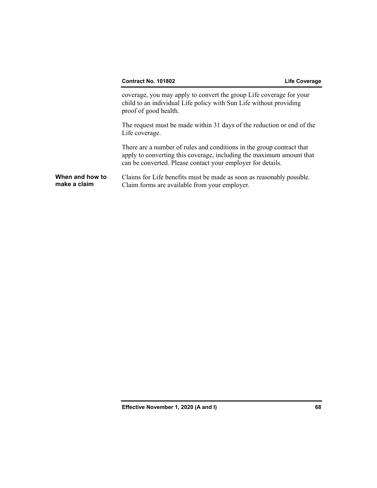coverage, you may apply to convert the group Life coverage for your child to an individual Life policy with Sun Life without providing proof of good health.

 The request must be made within 31 days of the reduction or end of the Life coverage.

 There are a number of rules and conditions in the group contract that apply to converting this coverage, including the maximum amount that can be converted. Please contact your employer for details.

## **When and how to make a claim**  Claims for Life benefits must be made as soon as reasonably possible. Claim forms are available from your employer.